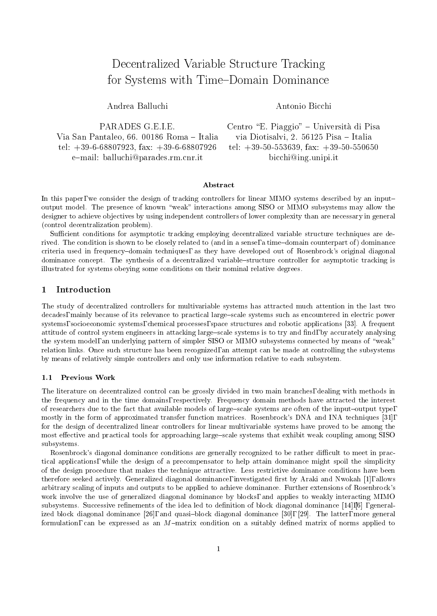# Decentralized Variable Structure Tracking for Systems with Times and Times and Times and Times and Times and Times and Times are  $\sim$

### Andrea Balluchi

PARADES G.E.I.E. Via San Pantaleo, 66. 00186 Roma - Italia via Diotisalvi, 2. 56125 Pisa - Italia tel: +39-6-68807923, fax: +39-6-68807926 tel: +39-50-553639, fax: +39-50-550650 e-mail: balluchi@parades.rm.cnr.it bicchi@ing.unipi.it

Antonio Bicchi

Centro "E. Piaggio" - Università di Pisa

#### Abstract

In this paper, we consider the design of tracking controllers for linear MIMO systems described by an inputoutput model. The presence of known \weak" interactions among SISO or MIMO subsystems may allow the designer to achieve objectives by using independent controllers of lower complexity than are necessary in general (control decentralization problem).

Sufficient conditions for asymptotic tracking employing decentralized variable structure techniques are derived. The condition is shown to be closely related to (and in a sense, a time-domain counterpart of) dominance criteria used in frequency-domain techniques, as they have developed out of Rosenbrock's original diagonal dominance concept. The synthesis of a decentralized variable-structure controller for asymptotic tracking is illustrated for systems obeying some conditions on their nominal relative degrees.

#### $\mathbf{1}$ Introduction

The study of decentralized controllers for multivariable systems has attracted much attention in the last two decades, mainly because of its relevance to practical large-scale systems such as encountered in electric power systems, socioeconomic systems, chemical processes, space structures and robotic applications [33]. A frequent attitude of control system engineers in attacking large-scale systems is to try and find, by accurately analysing the system model, an underlying pattern of simpler SISO or MIMO subsystems connected by means of "weak" relation links. Once such structure has been recognized, an attempt can be made at controlling the subsystems by means of relatively simple controllers and only use information relative to each subsystem.

### 1.1 Previous Work

The literature on decentralized control can be grossly divided in two main branches, dealing with methods in the frequency and in the time domains, respectively. Frequency domain methods have attracted the interest of researchers due to the fact that available models of large-scale systems are often of the input-output type, mostly in the form of approximated transfer function matrices. Rosenbrock's DNA and INA techniques [31], for the design of decentralized linear controllers for linear multivariable systems have proved to be among the most effective and practical tools for approaching large-scale systems that exhibit weak coupling among SISO subsystems.

Rosenbrock's diagonal dominance conditions are generally recognized to be rather difficult to meet in practical applications, while the design of a precompensator to help attain dominance might spoil the simplicity of the design procedure that makes the technique attractive. Less restrictive dominance conditions have been therefore seeked actively. Generalized diagonal dominance, investigated first by Araki and Nwokah [1], allows arbitrary scaling of inputs and outputs to be applied to achieve dominance. Further extensions of Rosenbrock's work involve the use of generalized diagonal dominance by blocks, and applies to weakly interacting MIMO subsystems. Successive refinements of the idea led to definition of block diagonal dominance [14], [6], generalized block diagonal dominance [26], and quasi-block diagonal dominance [30], [29]. The latter, more general formulation, can be expressed as an  $M$ -matrix condition on a suitably defined matrix of norms applied to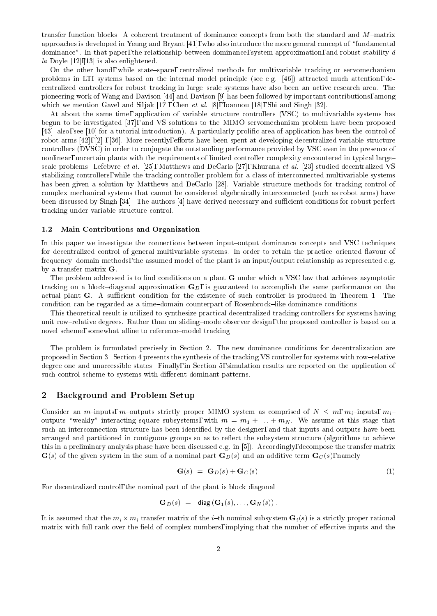transfer function blocks. A coherent treatment of dominance concepts from both the standard and  $M$ -matrix approaches is developed in Yeung and Bryant [41], who also introduce the more general concept of \fundamental dominance". In that paper, the relationship between dominance, system approximation, and robust stability  $\acute{a}$ la Doyle [12],[13] is also enlightened.

On the other hand, while state-space, centralized methods for multivariable tracking or servomechanism problems in LTI systems based on the internal model principle (see e.g. [46]) attracted much attention, decentralized controllers for robust tracking in large-scale systems have also been an active research area. The pioneering work of Wang and Davison [44] and Davison [9] has been followed by important contributions, among which we mention Gavel and Siljak [17], Chen *et al.* [8], Ioannou [18], Shi and Singh [32].

At about the same time, application of variable structure controllers (VSC) to multivariable systems has begun to be investigated [37], and VS solutions to the MIMO servomechanism problem have been proposed [43]; also, see [10] for a tutorial introduction). A particularly prolific area of application has been the control of robot arms [42], [2], [36]. More recently, efforts have been spent at developing decentralized variable structure controllers (DVSC) in order to conjugate the outstanding performance provided by VSC even in the presence of nonlinear, uncertain plants with the requirements of limited controller complexity encountered in typical largescale problems. Lefebvre et al. [25], Matthews and DeCarlo [27], Khurana et al. [23] studied decentralized VS stabilizing controllers, while the tracking controller problem for a class of interconnected multivariable systems has been given a solution by Matthews and DeCarlo [28]. Variable structure methods for tracking control of complex mechanical systems that cannot be considered algebraically interconnected (such as robot arms) have been discussed by Singh [34]. The authors [4] have derived necessary and sufficient conditions for robust perfect tracking under variable structure control.

#### 1.2 Main Contributions and Organization

In this paper we investigate the connections between input-output dominance concepts and VSC techniques for decentralized control of general multivariable systems. In order to retain the practice–oriented flavour of frequency-domain methods, the assumed model of the plant is an input/output relationship as represented e.g. by a transfer matrix G.

The problem addressed is to find conditions on a plant **G** under which a VSC law that achieves asymptotic tracking on a block-diagonal approximation  $G_D$ , is guaranteed to accomplish the same performance on the actual plant G. A sufficient condition for the existence of such controller is produced in Theorem 1. The condition can be regarded as a time-domain counterpart of Rosenbrock-like dominance conditions.

This theoretical result is utilized to synthesize practical decentralized tracking controllers for systems having unit row-relative degrees. Rather than on sliding-mode observer design, the proposed controller is based on a novel scheme, somewhat affine to reference-model tracking.

The problem is formulated precisely in Section 2. The new dominance conditions for decentralization are proposed in Section 3. Section 4 presents the synthesis of the tracking VS controller for systems with row-relative degree one and unaccessible states. Finally, in Section 5, simulation results are reported on the application of such control scheme to systems with different dominant patterns.

#### $\overline{2}$ Background and Problem Setup

Consider an m-inputs, m-outputs strictly proper MIMO system as comprised of  $N \le m$ , m<sub>i</sub>-inputs, m<sub>i</sub>outputs "weakly" interacting square subsystems, with  $m = m_1 + \ldots + m_N$ . We assume at this stage that such an interconnection structure has been identified by the designer, and that inputs and outputs have been arranged and partitioned in contiguous groups so as to reflect the subsystem structure (algorithms to achieve this in a preliminary analysis phase have been discussed e.g. in [5]). Accordingly, decompose the transfer matrix  $\mathbf{G}(s)$  of the given system in the sum of a nominal part  $\mathbf{G}_D(s)$  and an additive term  $\mathbf{G}_C(s)$ , namely

$$
\mathbf{G}(s) = \mathbf{G}_D(s) + \mathbf{G}_C(s). \tag{1}
$$

For decentralized control, the nominal part of the plant is block diagonal

$$
\mathbf{G}_D(s) = \mathsf{diag}(\mathbf{G}_1(s), \dots, \mathbf{G}_N(s)).
$$

It is assumed that the minimal substitution of the ifter matrix of the ifter  $\mathcal{N}(s)$  is a strictly proper rational substitution of the ifter rational substitutional substitutional substitution of the ifter rational sub matrix with full rank over the field of complex numbers, implying that the number of effective inputs and the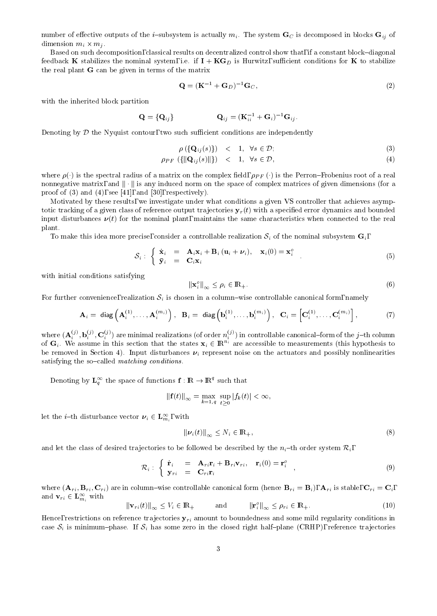number of effective outputs of the *i*-subsystem is actually  $m_i$ . The system  $\mathbf{G}_C$  is decomposed in blocks  $\mathbf{G}_{ij}$  of dimension minutes are a set of the set of the set of the set of the set of the set of the set of the set of th

Based on such decomposition, classical results on decentralized control show that, if a constant block-diagonal feedback K stabilizes the nominal system, i.e. if  $I + KG_D$  is Hurwitz, sufficient conditions for K to stabilize the real plant G can be given in terms of the matrix

$$
\mathbf{Q} = (\mathbf{K}^{-1} + \mathbf{G}_D)^{-1} \mathbf{G}_C,\tag{2}
$$

with the inherited block partition

$$
\mathbf{Q} = \{\mathbf{Q}_{ij}\}\qquad \qquad \mathbf{Q}_{ij} = (\mathbf{K}_{ii}^{-1} + \mathbf{G}_i)^{-1}\mathbf{G}_{ij}.
$$

Denoting by  $D$  the Nyquist contour, two such sufficient conditions are independently

$$
\rho(\{\mathbf{Q}_{ij}(s)\}) \quad < \quad 1, \quad \forall s \in \mathcal{D};\tag{3}
$$

$$
\rho_{PF}(\{\|\mathbf{Q}_{ij}(s)\|\}) \quad < \quad 1, \ \ \forall s \in \mathcal{D}, \tag{4}
$$

where  $\rho(\cdot)$  is the spectral radius of a matrix on the complex field,  $\rho_{PF}(\cdot)$  is the Perron-Frobenius root of a real nonnegative matrix, and  $\|\cdot\|$  is any induced norm on the space of complex matrices of given dimensions (for a proof of  $(3)$  and  $(4)$ , see [41], and [30], respectively).

Motivated by these results, we investigate under what conditions a given VS controller that achieves asymptotic tracking of a given class of reference output trajectories  $y_r(t)$  with a specified error dynamics and bounded input disturbances  $\nu(t)$  for the nominal plant, maintains the same characteristics when connected to the real plant.

To make this idea more precise, consider a controllable realization  $S_i$  of the nominal subsystem  $G_i$ ,

$$
\mathcal{S}_i: \begin{cases} \dot{\mathbf{x}}_i = \mathbf{A}_i \mathbf{x}_i + \mathbf{B}_i (\mathbf{u}_i + \boldsymbol{\nu}_i), & \mathbf{x}_i(0) = \mathbf{x}_i^o \\ \bar{\mathbf{y}}_i = \mathbf{C}_i \mathbf{x}_i \end{cases} \tag{5}
$$

with initial conditions satisfying

$$
\|\mathbf{x}_{i}^{o}\|_{\infty} \leq \rho_{i} \in \mathbb{R}_{+}.\tag{6}
$$

For further convenience, realization  $S_i$  is chosen in a column-wise controllable canonical form, namely

$$
\mathbf{A}_{i} = \text{ diag}\left(\mathbf{A}_{i}^{(1)}, \ldots, \mathbf{A}_{i}^{(m_{i})}\right), \quad \mathbf{B}_{i} = \text{ diag}\left(\mathbf{b}_{i}^{(1)}, \ldots, \mathbf{b}_{i}^{(m_{i})}\right), \quad \mathbf{C}_{i} = \left[\mathbf{C}_{i}^{(1)}, \ldots, \mathbf{C}_{i}^{(m_{i})}\right],\tag{7}
$$

where  $(\mathbf{A}_i^{(j)}, \mathbf{b}_i^{(j)}, \mathbf{C}_i^{(j)})$  are minimal realizations (of order  $n_i^{(j)}$ ) in controllable canonical–form of the j–th column<br>of  $\mathbf{G}_i$ . We assume in this section that the states  $\mathbf{x}_i \in \mathbb{R}^{n_i}$  are acc be removed in Section 4). Input disturbances  $\nu_i$  represent noise on the actuators and possibly nonlinearities satisfying the so-called matching conditions.

Denoting by  $L_a^{\infty}$  the space of functions  $\mathbf{r} : \mathbb{R} \to \mathbb{R}^3$  such that

$$
\left\|\mathbf{f}(t)\right\|_{\infty} = \max_{k=1,q} \sup_{t\geq 0} |f_k(t)| < \infty,
$$

iet the  $i$ -th disturbance vector  $\boldsymbol{\nu}_i \in \mathbf{L}_{m_i}$ , with

$$
\|\nu_i(t)\|_{\infty} \le N_i \in \mathbb{R}_+, \tag{8}
$$

and let the class of desired trajectories to be followed be described by the  $n_i$ -th order system  $\mathcal{R}_i$ ,

$$
\mathcal{R}_i: \begin{cases} \dot{\mathbf{r}}_i = \mathbf{A}_{ri} \mathbf{r}_i + \mathbf{B}_{ri} \mathbf{v}_{ri}, & \mathbf{r}_i(0) = \mathbf{r}_i^o \\ \mathbf{y}_{ri} = \mathbf{C}_{ri} \mathbf{r}_i \end{cases} (9)
$$

where  $(A_{ri}, B_{ri}, C_{ri})$  are in column-wise controllable canonical form (hence  $B_{ri} = B_i$ ),  $A_{ri}$  is stable,  $C_{ri} = C_i$ , and  $\mathbf{v}_{ri} \in \mathbf{L}_{m_i}$  with

$$
\|\mathbf{v}_{ri}(t)\|_{\infty} \le V_i \in \mathbb{R}_+ \quad \text{and} \quad \|\mathbf{r}_i^o\|_{\infty} \le \rho_{ri} \in \mathbb{R}_+.
$$
 (10)

Hence, restrictions on reference trajectories  $y_{ri}$  amount to boundedness and some mild regularity conditions in case  $S_i$  is minimum-phase. If  $S_i$  has some zero in the closed right half-plane (CRHP), reference trajectories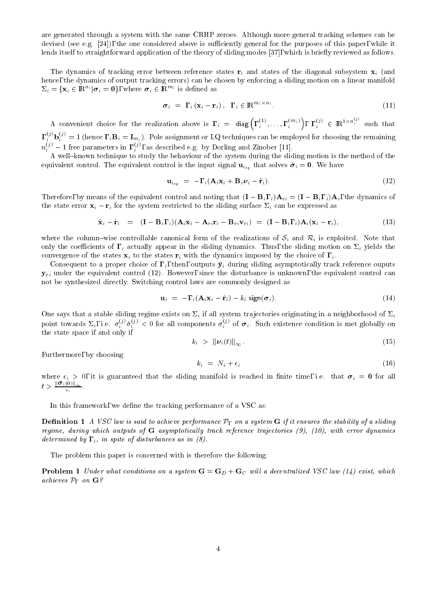are generated through a system with the same CRHP zeroes. Although more general tracking schemes can be devised (see e.g. [24]), the one considered above is sufficiently general for the purposes of this paper, while it lends itself to straightforward application of the theory of sliding modes [37], which is briefly reviewed as follows.

The dynamics of tracking error between reference states  $\mathbf{r}_i$  and states of the diagonal subsystem  $\mathbf{x}_i$  (and hence, the dynamics of output tracking errors) can be chosen by enforcing a sliding motion on a linear manifold  $\Sigma_i = \{ \mathbf{x}_i \in \mathbb{R}^{n_i} | \sigma_i = \mathbf{0} \}$ , where  $\sigma_i \in \mathbb{R}^{m_i}$  is defined as

$$
\sigma_i = \Gamma_i (\mathbf{x}_i - \mathbf{r}_i), \ \Gamma_i \in \mathbb{R}^{m_i \times n_i}.
$$
 (11)

A convenient choice for the realization above is  $\mathbf{\Gamma}_i = \text{diag}(\mathbf{\Gamma}_i^{(1)}, \dots, \mathbf{\Gamma}_i^{(m)})$  $\bigl(\begin{smallmatrix} 1 \ 1 \end{smallmatrix}\bigr), \ldots, \boldsymbol{\Gamma}^{(m_i)}_i \bigr), \, \, \boldsymbol{\Gamma}^{(j)}_i \, \, \in \, \, {\rm I\!R}^{1 \times n_i^{(j)}} \, \, \, \text{such that}$  $\Gamma_i^{(j)}$   $\mathbf{b}_i^{(j)} = 1$  (hence  $\Gamma_i \mathbf{B}_i = \mathbf{I}_{m_i}$ ). Pole assignment or LQ techniques can be employed for choosing the remaining  $n_i^{\scriptscriptstyle{(o)}}=1$  free parameters in  $\Gamma_i^{\scriptscriptstyle{(o)}}$ , as descr

 $\iota$  , as described e.g. by Dorling and Zinober [11]. A well{known technique to study the behaviour of the system during the sliding motion is the method of the equivalent control. The equivalent control is the input signal upon  $\alpha_{eq}$  that solves  $\epsilon$  , we have the input signal u

$$
\mathbf{u}_{i_{eq}} = -\mathbf{\Gamma}_i(\mathbf{A}_i \mathbf{x}_i + \mathbf{B}_i \mathbf{\nu}_i - \dot{\mathbf{r}}_i). \tag{12}
$$

Therefore, by means of the equivalent control and noting that  $(I - B_i \Gamma_i)A_{ri} = (I - B_i \Gamma_i)A_i$ , the dynamics of the state error  $\mathbf{x}_i - \mathbf{r}_i$  for the system restricted to the sliding surface  $\Sigma_i$  can be expressed as

$$
\dot{\mathbf{x}}_i - \dot{\mathbf{r}}_i = (\mathbf{I} - \mathbf{B}_i \mathbf{\Gamma}_i) (\mathbf{A}_i \mathbf{x}_i - \mathbf{A}_{ri} \mathbf{r}_i - \mathbf{B}_{ri} \mathbf{v}_{ri}) = (\mathbf{I} - \mathbf{B}_i \mathbf{\Gamma}_i) \mathbf{A}_i (\mathbf{x}_i - \mathbf{r}_i),
$$
\n(13)

where the column-wise controllable canonical form of the realizations of  $S_i$  and  $\mathcal{R}_i$  is exploited. Note that only the coefficients of  $\Gamma_i$  actually appear in the sliding dynamics. Thus, the sliding motion on  $\Sigma_i$  yields the convergence of the states  $x_i$  to the states  $r_i$  with the dynamics imposed by the choice of  $\Gamma_i$ .

Consequent to a proper choice of  $\Gamma_i$ , then, outputs  $\bar{y}_i$  during sliding asymptotically track reference ouputs  $y_{ri}$  under the equivalent control (12). However, since the disturbance is unknown, the equivalent control can not be synthesized directly. Switching control laws are commonly designed as

$$
\mathbf{u}_i = -\mathbf{\Gamma}_i(\mathbf{A}_i \mathbf{x}_i - \dot{\mathbf{r}}_i) - k_i \operatorname{sign}(\boldsymbol{\sigma}_i) \tag{14}
$$

One says that a stable sliding regime exists on  $\Sigma_i$  if all system trajectories originating in a neighborhood of  $\Sigma_i$ point towards  $\Sigma_i$ , i.e.  $\sigma_i^{(i)} \sigma_i^{(i')} \leq 0$  for all components  $\sigma_i^{(i')}$  of  $\sigma_i$ . Such existence condition is met globally on the state space if and only if

$$
k_i > \|\nu_i(t)\|_{\infty} \tag{15}
$$

Furthermore, by choosing

$$
k_i = N_i + \epsilon_i \tag{16}
$$

where  $\epsilon_i > 0$ , it is guaranteed that the sliding manifold is reached in finite time, i.e. that  $\sigma_i = 0$  for all  $t > \frac{\frac{n - i\left(\frac{1}{2}\right) + \infty}{\epsilon_i}}{\epsilon_i}.$ 

In this framework, we define the tracking performance of a VSC as:

**Definition 1** A VSC law is said to achieve performance  $\mathcal{P}_{\Gamma}$  on a system **G** if it ensures the stability of a sliding regime, during which outputs of  $G$  asymptotically track reference trajectories (9), (10), with error dynamics determined by  $\Gamma_i$ , in spite of disturbances as in (8).

The problem this paper is concerned with is therefore the following:

**Problem 1** Under what conditions on a system  $G = G_D + G_C$  will a decentralized VSC law (14) exist, which achieves  $\mathcal{P}_{\Gamma}$  on  $\mathbf{G}$ ?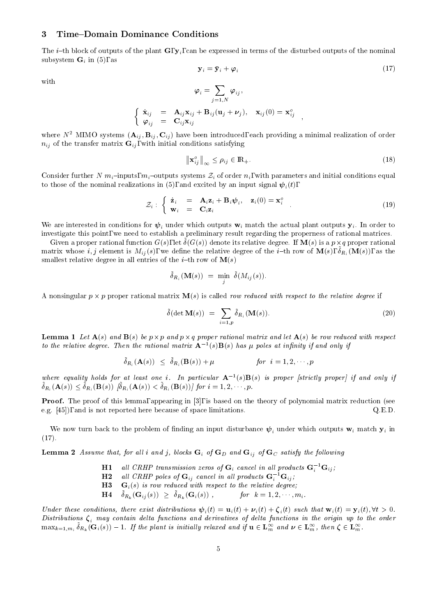# 3 Time-Domain Dominance Conditions

The *i*-th block of outputs of the plant G,  $y_i$ , can be expressed in terms of the disturbed outputs of the nominal subsystem  $G_i$  in (5), as

$$
\mathbf{y}_i = \bar{\mathbf{y}}_i + \boldsymbol{\varphi}_i \tag{17}
$$

;

with

$$
\varphi_i = \sum_{j=1,N} \varphi_{ij},
$$
  
\n
$$
\begin{cases}\n\dot{\mathbf{x}}_{ij} = \mathbf{A}_{ij} \mathbf{x}_{ij} + \mathbf{B}_{ij} (\mathbf{u}_j + \boldsymbol{\nu}_j), & \mathbf{x}_{ij} (0) = \mathbf{x}_{ij}^o \\
\varphi_{ij} = \mathbf{C}_{ij} \mathbf{x}_{ij}\n\end{cases}
$$

where  $N^2$  MIMO systems  $(A_{ij}, B_{ij}, C_{ij})$  have been introduced, each providing a minimal realization of order  $n_{ij}$  of the transfer matrix  $\mathbf{G}_{ij}$ , with initial conditions satisfying

$$
\left\| \mathbf{x}_{ij}^o \right\|_{\infty} \le \rho_{ij} \in \mathbb{R}_+.
$$
\n(18)

Consider further N  $m_i$ -inputs,  $m_i$ -outputs systems  $\mathcal{Z}_i$  of order  $n_i$ , with parameters and initial conditions equal to those of the nominal realizations in (5), and excited by an input signal  $\psi_i(t)$ ,

$$
\mathcal{Z}_i: \begin{cases} \dot{\mathbf{z}}_i = \mathbf{A}_i \mathbf{z}_i + \mathbf{B}_i \boldsymbol{\psi}_i, & \mathbf{z}_i(0) = \mathbf{x}_i^o \\ \mathbf{w}_i = \mathbf{C}_i \mathbf{z}_i \end{cases}
$$
(19)

We are interested in conditions for  $\psi_i$  under which outputs  $\mathbf{w}_i$  match the actual plant outputs  $\mathbf{y}_i$ . In order to investigate this point, we need to establish a preliminary result regarding the properness of rational matrices.

Given a proper rational function  $G(s)$ , let  $\sigma(G(s))$  denote its relative degree. If  $\sigma(g)$  is a  $p \times q$  proper rational matrix whose  $i, j$  element is  $m_{ij}(s)$ , we define the relative degree of the i<sub>t</sub> th row of  $m(s)$ ,  $v_{R_i}(m(s))$ , as the smallest relative degree in all entries of the *i*-th row of  $\mathbf{M}(s)$ 

$$
\tilde{\delta}_{R_i}(\mathbf{M}(s)) = \min_i \ \tilde{\delta}(M_{ij}(s)).
$$

<sup>j</sup>

A nonsingular <sup>p</sup> - <sup>p</sup> proper rational matrix M(s) is called row reduced with respect to the relative degree if

$$
\tilde{\delta}(\det \mathbf{M}(s)) = \sum_{i=1,p} \tilde{\delta}_{R_i}(\mathbf{M}(s)). \tag{20}
$$

Lemma 1 Let A(s) and B(s) be p-<sup>p</sup> and p-<sup>q</sup> proper rational matrix and let A(s) be row reduced with respect to the relative degree. Then the rational matrix  ${\bf A}$   $\mid$  (s) ${\bf D}(s)$  has  $\mu$  poles at infinity if and only if

$$
\tilde{\delta}_{R_i}(\mathbf{A}(s)) \leq \tilde{\delta}_{R_i}(\mathbf{B}(s)) + \mu \qquad \qquad \text{for} \ \ i = 1, 2, \cdots, p
$$

where equality holds for at least one i. In particular  ${\bf A}^{-1}(s) {\bf B}(s)$  is proper [strictly proper] if and only if  ${}^{b}R_i({\bf A}(s)) \leq {}^{b}R_i({\bf D}(s))$  [ ${}^{b}R_i({\bf A}(s)) \leq {}^{b}R_i({\bf D}(s))$ ] for  $i = 1, 2, \dots, p$ .

Proof. The proof of this lemma, appearing in [3], is based on the theory of polynomial matrix reduction (see e.g. [45]), and is not reported here because of space limitations. Q.E.D.

We now turn back to the problem of finding an input disturbance  $\psi_i$  under which outputs  $\mathbf{w}_i$  match  $\mathbf{y}_i$  in  $(17).$ 

**Lemma 2** Assume that, for all i and j, blocks  $G_i$  of  $G_D$  and  $G_{ij}$  of  $G_C$  satisfy the following

- **H1** all CRHP transmission zeros of  $\mathbf{G}_i$  cancel in all products  $\mathbf{G}_i$   $^*$   $\mathbf{G}_{ij}$ ;
- **H2** all CRHP poles of  $\mathbf{G}_{ij}$  cancel in all products  $\mathbf{G}_i$   $\mathbf{G}_{ij}$ ;
- $H3$   $G_i(s)$  is row reduced with respect to the relative degree;
- 114  $\sigma_{R_k}(\mathbf{u}_{ij}(s)) \leq \sigma_{R_k}(\mathbf{u}_{i}(s))$ for  $k = 1, 2, \dots, m_i$ .

Under these conditions, there exist distributions  $\psi_i(t) = \mathbf{u}_i(t) + \mathbf{\nu}_i(t) + \zeta_i(t)$  such that  $\mathbf{w}_i(t) = \mathbf{y}_i(t), \forall t > 0$ . Distributions <sup>i</sup> may contain delta functions and derivatives of delta functions in the origin up to the order  $\max_{k=1,m_i} o_{R_k}(\mathbf{G}_i(s)) = 1$ . If the plant is initially relaxed and if  $\mathbf{u} \in \mathbf{L}_m^m$  and  $\nu \in \mathbf{L}_m^m$ , then  $\boldsymbol{\zeta} \in \mathbf{L}_m^m$ .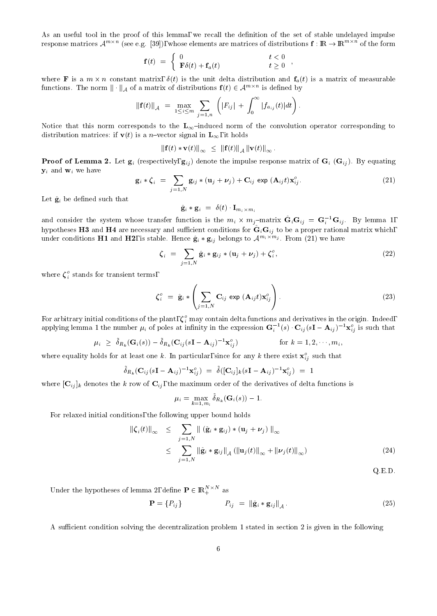As an useful tool in the proof of this lemma, we recall the definition of the set of stable undelayed impulse response matrices  $\mathcal{A}^{m \times n}$  (see e.g. [39]), whose elements are matrices of distributions  $\mathbf{I}: \mathbb{R} \to \mathbb{R}^{m \times m}$  of the form

$$
\mathbf{f}(t) = \begin{cases} 0 & t < 0 \\ \mathbf{F}\delta(t) + \mathbf{f}_a(t) & t \ge 0 \end{cases}
$$

where F is a m - n constant matrix,  $\alpha$  is the unit delta distribution and fa(t) is a matrix of measurable  $\alpha$ functions. The norm  $\|\cdot\|_{\mathcal A}$  of a matrix of distributions  $\mathbf r(t)\in \mathcal A^{m\times m}$  is defined by

$$
\|\mathbf{f}(t)\|_{\mathcal{A}} = \max_{1 \leq i \leq m} \sum_{j=1,n} \left( |F_{ij}| + \int_0^\infty |f_{a_{ij}}(t)| dt \right).
$$

Notice that this norm corresponds to the  $L_{\infty}$ -induced norm of the convolution operator corresponding to distribution matrices: if  $\mathbf{v}(t)$  is a *n*-vector signal in  $\mathbf{L}_{\infty}$ , it holds

$$
\left\| \mathbf{f}(t) \ast \mathbf{v}(t) \right\|_{\infty} \leq \left\| \mathbf{f}(t) \right\|_{\mathcal{A}} \left\| \mathbf{v}(t) \right\|_{\infty}.
$$

**Proof of Lemma 2.** Let  $g_i$  (respectively,  $g_{ij}$ ) denote the impulse response matrix of  $G_i$  ( $G_{ij}$ ). By equating  $y_i$  and  $w_i$  we have

$$
\mathbf{g}_i * \boldsymbol{\zeta}_i = \sum_{j=1,N} \mathbf{g}_{ij} * (\mathbf{u}_j + \boldsymbol{\nu}_j) + \mathbf{C}_{ij} \exp (\mathbf{A}_{ij} t) \mathbf{x}_{ij}^o.
$$
 (21)

Let  $\hat{\mathbf{g}}_i$  be defined such that

$$
\hat{\mathbf{g}}_i * \mathbf{g}_i = \delta(t) \cdot \mathbf{I}_{m_i \times m_i}
$$

and consider the system whose transfer function is the  $m_i \times m_j$ —matrix  ${\bf G}_i{\bf G}_{ij} \ =\ {\bf G}_i$   $\ \cdot \ {\bf G}_{ij}.$  By lemma 1, hypotheses H5 and H4 are necessary and sunform conditions for  $\mathbf{G}_i\mathbf{G}_{ij}$  to be a proper rational matrix which, under conditions **H1** and **H2**, is stable. Hence  $\mathbf{g}_i * \mathbf{g}_{ij}$  belongs to  $\mathcal{A}^{m+m+j}$ . From (21) we have

$$
\zeta_i = \sum_{j=1,N} \hat{\mathbf{g}}_i * \mathbf{g}_{ij} * (\mathbf{u}_j + \boldsymbol{\nu}_j) + \zeta_i^o,
$$
\n(22)

where  $\boldsymbol{\zeta}_i$  stands for transient terms,

$$
\zeta_i^o = \hat{\mathbf{g}}_i * \left( \sum_{j=1,N} \mathbf{C}_{ij} \exp \left( \mathbf{A}_{ij} t \right) \mathbf{x}_{ij}^o \right).
$$
 (23)

For arbitrary initial conditions of the plant,  $\zeta_i$  may contain delta functions and derivatives in the origin. Indeed, applying lemma 1 the number  $\mu_i$  of poles at infinity in the expression  $\mathbf{G}_i$  (s)  $\mathbf{C}_{ij}(s\mathbf{I}-\mathbf{A}_{ij})$  .  $\mathbf{x}_{ij}$  is such that

$$
\mu_i \geq \tilde{\delta}_{R_k}(\mathbf{G}_i(s)) - \tilde{\delta}_{R_k}(\mathbf{C}_{ij}(s\mathbf{I} - \mathbf{A}_{ij})^{-1}\mathbf{x}_{ij}^o) \qquad \text{for } k = 1, 2, \cdots, m_i,
$$

where equality holds for at least one  $\kappa$ . In particular, since for any  $\kappa$  there exist  $\mathbf{x}_{ij}$  such that

$$
\tilde{\delta}_{R_k} (\mathbf{C}_{ij}(s\mathbf{I} - \mathbf{A}_{ij})^{-1} \mathbf{x}_{ij}^o) = \tilde{\delta}([\mathbf{C}_{ij}]_k (s\mathbf{I} - \mathbf{A}_{ij})^{-1} \mathbf{x}_{ij}^o) = 1
$$

where  $[\mathbf{C}_{ij}]_k$  denotes the k row of  $\mathbf{C}_{ij}$ , the maximum order of the derivatives of delta functions is

$$
\mu_i = \max_{k=1,m_i} \tilde{\delta}_{R_k}(\mathbf{G}_i(s)) - 1.
$$

For relaxed initial conditions, the following upper bound holds

$$
\begin{aligned}\n\|\boldsymbol{\zeta}_i(t)\|_{\infty} &\leq \sum_{j=1,N} \|\ (\hat{\mathbf{g}}_i * \mathbf{g}_{ij}) * (\mathbf{u}_j + \boldsymbol{\nu}_j) \,\|_{\infty} \\
&\leq \sum_{j=1,N} \|\hat{\mathbf{g}}_i * \mathbf{g}_{ij}\|_{\mathcal{A}} \left( \|\mathbf{u}_j(t)\|_{\infty} + \|\boldsymbol{\nu}_j(t)\|_{\infty} \right)\n\end{aligned} \tag{24}
$$

Under the hypotheses of lemma 2, define  $P \in \mathbb{R}_+^{\times}$  as

$$
\mathbf{P} = \{P_{ij}\}\qquad P_{ij} = \left\|\hat{\mathbf{g}}_i * \mathbf{g}_{ij}\right\|_{\mathcal{A}}.\tag{25}
$$

A sufficient condition solving the decentralization problem 1 stated in section 2 is given in the following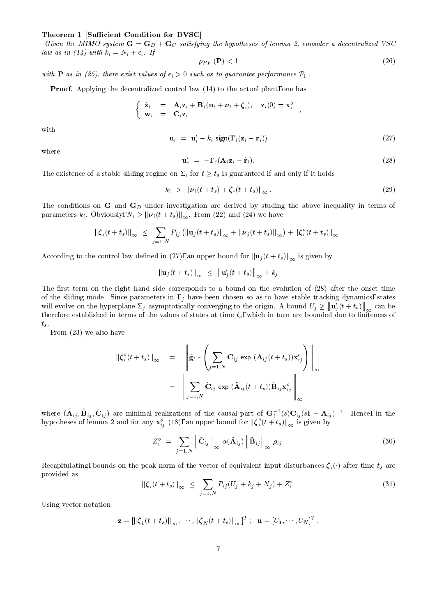#### Theorem 1 [Sufficient Condition for DVSC]

Given the MIMO system  $G = G_D + G_C$  satisfying the hypotheses of lemma 2, consider a decentralized VSC law as in (14) with  $k_i = N_i + \epsilon_i$ . If

$$
\rho_{PF}(\mathbf{P}) < 1\tag{26}
$$

;

 $i,j$ :  $\lambda = -j$ 

with **P** as in (25), there exist values of  $\epsilon_i > 0$  such as to guarantee performance  $\mathcal{P}_\Gamma$ .

Proof. Applying the decentralized control law  $(14)$  to the actual plant, one has

$$
\begin{cases} \dot{\mathbf{z}}_i = \mathbf{A}_i \mathbf{z}_i + \mathbf{B}_i (\mathbf{u}_i + \boldsymbol{\nu}_i + \boldsymbol{\zeta}_i), & \mathbf{z}_i(0) = \mathbf{x}_i^o \\ \mathbf{w}_i = \mathbf{C}_i \mathbf{z}_i \end{cases},
$$

with

$$
\mathbf{u}_i = \mathbf{u}'_i - k_i \operatorname{sign}(\Gamma_i(\mathbf{z}_i - \mathbf{r}_i)) \tag{27}
$$

where

$$
\mathbf{u}'_i = -\mathbf{\Gamma}_i (\mathbf{A}_i \mathbf{z}_i - \dot{\mathbf{r}}_i). \tag{28}
$$

The existence of a stable sliding regime on  $\Sigma_i$  for  $t \ge t_s$  is guaranteed if and only if it holds

$$
k_i > \|\nu_i(t+t_s) + \zeta_i(t+t_s)\|_{\infty} \,. \tag{29}
$$

The conditions on  $G$  and  $G_D$  under investigation are derived by studing the above inequality in terms of parameters  $k_i$ . Obviously,  $N_i \ge ||\nu_i(t + t_s)||_{\infty}$ . From (22) and (24) we have

$$
\left\|\zeta_i(t+t_s)\right\|_{\infty} \leq \sum_{j=1,N} P_{ij} \left(\left\|\mathbf{u}_j(t+t_s)\right\|_{\infty} + \left\|\boldsymbol{\nu}_j(t+t_s)\right\|_{\infty}\right) + \left\|\zeta_i^o(t+t_s)\right\|_{\infty}.
$$

According to the control law defined in (27), an upper bound for  $\left\|\mathbf{u}_j(t + t_s)\right\|_{\infty}$  is given by

$$
\left\|\mathbf{u}_{j}(t+t_{s})\right\|_{\infty} \leq \left\|\mathbf{u}_{j}'(t+t_{s})\right\|_{\infty}+k_{j}
$$

The first term on the right-hand side corresponds to a bound on the evolution of (28) after the onset time of the sliding mode. Since parameters in  $, j$  have been chosen so as to have stable tracking dynamics, states will evolve on the hyperplane  $\equiv$   $\mu$  asymptotically converging to the original original USD U  $\mu$  U  $\mu$  U  $\mu$  U  $\mu$  $\left\|\mathbf{u}'_j(t+t_s)\right\|_{\infty}$  can be therefore established in terms of the values of states at time  $t_s$ , which in turn are bounded due to finiteness of  $t_s$ .

From (23) we also have

$$
\begin{array}{rcl}\n\left\|\boldsymbol{\zeta}_{i}^{o}(t+t_{s})\right\|_{\infty} & = & \left\|\hat{\mathbf{g}}_{i}*\left(\sum_{j=1,N}\mathbf{C}_{ij}\,\exp\,(\mathbf{A}_{ij}(t+t_{s}))\mathbf{x}_{ij}^{o}\right)\right\|_{\infty} \\
& = & \left\|\sum_{j=1,N}\tilde{\mathbf{C}}_{ij}\,\exp\,(\tilde{\mathbf{A}}_{ij}(t+t_{s}))\tilde{\mathbf{B}}_{ij}\mathbf{x}_{ij}^{o}\right\|_{\infty}\n\end{array}
$$

where  $(\mathbf{A}_{ij}, \mathbf{B}_{ij}, \mathbf{C}_{ij})$  are minimal realizations of the causal part of  $\mathbf{G}_i$   $(s) \mathbf{C}_{ij} (s\mathbf{I} - \mathbf{A}_{ij})$  . Hence, in the hypotheses of lemma 2 and for any  $\mathbf{x}_{ij}^v$  (18), an upper bound for  $\|\boldsymbol{\zeta}_i^v(t+t_s)\|_\infty$  is given by

$$
Z_i^o = \sum_{j=1,N} \left\| \tilde{\mathbf{C}}_{ij} \right\|_{\infty} \alpha(\tilde{\mathbf{A}}_{ij}) \left\| \tilde{\mathbf{B}}_{ij} \right\|_{\infty} \rho_{ij}.
$$
 (30)

Recapitulating, bounds on the peak norm of the vector of equivalent input disturbances  $\zeta_i(\cdot)$  after time  $t_s$  are provided as

$$
\|\zeta_i(t+t_s)\|_{\infty} \leq \sum_{j=1,N} P_{ij}(U_j+k_j+N_j) + Z_i^o.
$$
 (31)

Using vector notation

$$
\mathbf{z} = \left[\left\|\boldsymbol{\zeta}_1(t+t_s)\right\|_{\infty},\cdots,\left\|\boldsymbol{\zeta}_N(t+t_s)\right\|_{\infty}\right]^T;\quad \mathbf{u} = \left[U_1,\cdots,U_N\right]^T,
$$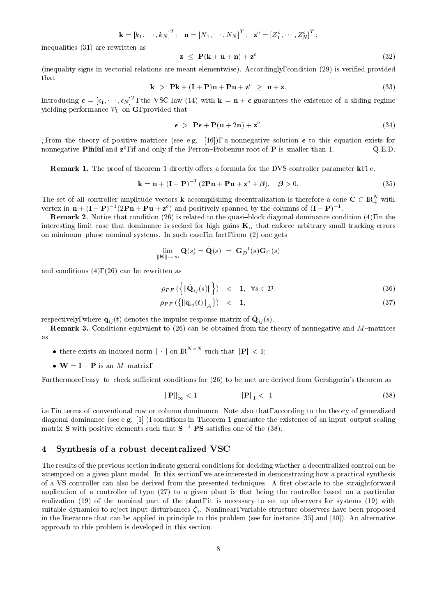$$
\mathbf{k}=[k_1,\cdots,k_N]^T\,;\ \ \mathbf{n}=[N_1,\cdots,N_N]^T\,;\ \ \mathbf{z}^o=[Z_1^o,\cdots,Z_N^o]^T\,;
$$

inequalities (31) are rewritten as

$$
\mathbf{z} \ \leq \ \mathbf{P}(\mathbf{k} + \mathbf{u} + \mathbf{n}) + \mathbf{z}^{\circ} \tag{32}
$$

(inequality signs in vectorial relations are meant elementwise). Accordingly, condition (29) is veried provided that

$$
\mathbf{k} \, > \, \mathbf{P}\mathbf{k} + (\mathbf{I} + \mathbf{P})\mathbf{n} + \mathbf{P}\mathbf{u} + \mathbf{z}^{\circ} \, \geq \, \mathbf{n} + \mathbf{z}.\tag{33}
$$

Introducing  $\bm{\epsilon} = |\epsilon_1, \cdots, \epsilon_N|$ , the VSC law (14) with  $\mathbf{k} = \mathbf{n} + \bm{\epsilon}$  guarantees the existence of a sliding regime yielding performance  $\mathcal{P}_{\Gamma}$  on  $G$ , provided that

$$
\epsilon \, > \, \mathbf{P}\epsilon + \mathbf{P}(\mathbf{u} + 2\mathbf{n}) + \mathbf{z}^{\circ}.\tag{34}
$$

¿From the theory of positive matrices (see e.g. [16]), a nonnegative solution  $\epsilon$  to this equation exists for  $\min$  if and  $\sum$  , if and only if the Perron-Probenius root of P is smaller than 1.  $\sum_{i=1}^N E_i$ .  $D_i$ 

**Remark 1.** The proof of theorem 1 directly offers a formula for the DVS controller parameter k, i.e.

$$
\mathbf{k} = \mathbf{n} + (\mathbf{I} - \mathbf{P})^{-1} (2\mathbf{P}\mathbf{n} + \mathbf{P}\mathbf{u} + \mathbf{z}^{\circ} + \boldsymbol{\beta}), \quad \boldsymbol{\beta} > 0. \tag{35}
$$

The set of all controller amplitude vectors **K** accomplishing decentralization is therefore a cone  $C \subset \mathbb{R}^+$  with vertex in  $\mathbf{n} + (\mathbf{I} - \mathbf{F})^{-1} (2\mathbf{F} \mathbf{n} + \mathbf{F} \mathbf{u} + \mathbf{z}^{-})$  and positively spanned by the columns of  $(\mathbf{I} - \mathbf{F})^{-1}$ .

**Remark 2.** Notice that condition (26) is related to the quasi-block diagonal dominance condition (4), in the interesting limit case that dominance is seeked for high gains  $\mathbf{K}_{ii}$  that enforce arbitrary small tracking errors on minimum-phase nominal systems. In such case, in fact, from (2) one gets

$$
\lim_{\|\mathbf{K}\|\to\infty} \mathbf{Q}(s) = \hat{\mathbf{Q}}(s) \ = \ \mathbf{G}_D^{-1}(s) \mathbf{G}_C(s)
$$

and conditions (4), (26) can be rewritten as

$$
\rho_{PF}(\left\{ \left\| \hat{\mathbf{Q}}_{ij}(s) \right\| \right\}) \quad < \quad 1, \quad \forall s \in \mathcal{D}; \tag{36}
$$

$$
\rho_{PF}(\left\{\left\|\hat{\mathbf{q}}_{ij}(t)\right\|_{\mathcal{A}}\right\}) \quad < \quad 1,\tag{37}
$$

respectively, where  $q_{ij}$  (t) denotes the impulse response matrix or  $\mathbf{v}_{ij}(s)$ .

**Remark 3.** Conditions equivalent to (26) can be obtained from the theory of nonnegative and M-matrices

- there exists an induced norm  $\|\cdot\|$  on  $\mathbb{R}$  such that  $\|\mathbf{P}\| \leq 1$ ;
- $W = I P$  is an *M*-matrix,

Furthermore, easy-to-check sufficient conditions for (26) to be met are derived from Gershgorin's theorem as

$$
\|\mathbf{P}\|_{\infty} < 1 \tag{38}
$$

i.e., in terms of conventional row or column dominance. Note also that, according to the theory of generalized diagonal dominance (see e.g.  $[1]$ ), conditions in Theorem 1 guarantee the existence of an input-output scaling matrix **S** with positive elements such that  $S^{-1}$  **PS** satisfies one of the (38).

## 4 Synthesis of a robust decentralized VSC

The results of the previous section indicate general conditions for deciding whether a decentralized control can be attempted on a given plant model. In this section, we are interested in demonstrating how a practical synthesis of a VS controller can also be derived from the presented techniques. A first obstacle to the straightforward application of a controller of type (27) to a given plant is that being the controller based on a particular realization (19) of the nominal part of the plant, it is necessary to set up observers for systems (19) with suitable dynamics to reject input disturbances  $\mathcal{J}_l$  , concerting observers have been proposed proposed observers have proposed in the literature that can be applied in principle to this problem (see for instance [35] and [40]). An alternative approach to this problem is developed in this section.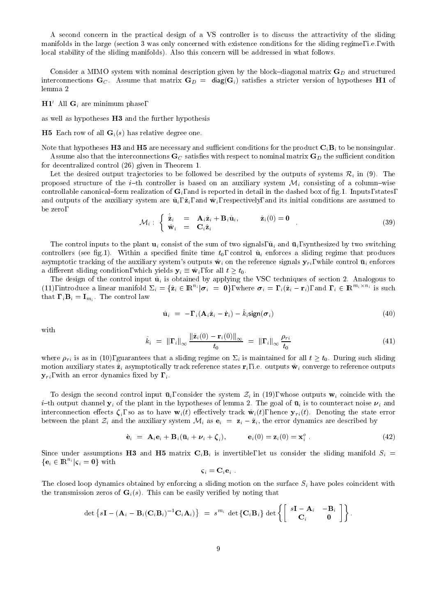A second concern in the practical design of a VS controller is to discuss the attractivity of the sliding manifolds in the large (section 3 was only concerned with existence conditions for the sliding regime, i.e., with local stability of the sliding manifolds). Also this concern will be addressed in what follows.

Consider a MIMO system with nominal description given by the block-diagonal matrix  $\mathbf{G}_D$  and structured interconnections  $\mathbf{G}_C$ . Assume that matrix  $\mathbf{G}_D = \text{diag}(\mathbf{G}_i)$  satisfies a stricter version of hypotheses H1 of lemma 2

 $H1'$  All  $G_i$  are minimum phase,

as well as hypotheses H3 and the further hypothesis

**H5** Each row of all  $\mathbf{G}_i(s)$  has relative degree one.

Note that hypotheses H3 and H5 are necessary and sufficient conditions for the product  $C_iB_i$  to be nonsingular. Assume also that the interconnections  $\mathbf{G}_C$  satisfies with respect to nominal matrix  $\mathbf{G}_D$  the sufficient condition for decentralized control (26) given in Theorem 1.

Let the desired output trajectories to be followed be described by the outputs of systems  $\mathcal{R}_i$  in (9). The proposed structure of the *i*-th controller is based on an auxiliary system  $\mathcal{M}_i$  consisting of a column-wise controllable canonical–form realization of  $\mathbf{G}_i$ , and is reported in detail in the dashed box of fig.1. Inputs, states, and outputs of the auxiliary system are  $\hat{\mathbf{u}}_i$ ,  $\hat{\mathbf{z}}_i$ , and  $\hat{\mathbf{w}}_i$ , respectively, and its initial conditions are assumed to be zero,

$$
\mathcal{M}_i: \begin{cases} \dot{\hat{\mathbf{z}}}_i = \mathbf{A}_i \hat{\mathbf{z}}_i + \mathbf{B}_i \hat{\mathbf{u}}_i, & \hat{\mathbf{z}}_i(0) = \mathbf{0} \\ \hat{\mathbf{w}}_i = \mathbf{C}_i \hat{\mathbf{z}}_i \end{cases}
$$
(39)

The control inputs to the plant  $\mathbf{u}_i$  consist of the sum of two signals,  $\hat{\mathbf{u}}_i$  and  $\bar{\mathbf{u}}_i$ , synthesized by two switching controllers (see fig.1). Within a specified finite time  $t_0$ , control  $\hat{\bf u}_i$  enforces a sliding regime that produces asymptotic tracking of the auxiliary system's outputs  $\hat{\mathbf{w}}_i$  on the reference signals  $\mathbf{y}_{ri}$ , while control  $\bar{\mathbf{u}}_i$  enforces a different sliding condition, which yields  $y_i \equiv \hat{w}_i$ , for all  $t \geq t_0$ .

The design of the control input  $\hat{\mathbf{u}}_i$  is obtained by applying the VSC techniques of section 2. Analogous to (11), introduce a linear manifold  $\Sigma_i = \{ \mathbf{Z}_i \in \mathbb{R}^m | \sigma_i = \mathbf{0} \}$ , where  $\sigma_i = \mathbf{I}_i(\mathbf{Z}_i - \mathbf{r}_i)$ , and  $\mathbf{I}_i \in \mathbb{R}^{m \times m}$  is such that  $\mathbf{\Gamma}_i \mathbf{B}_i = \mathbf{I}_{m_i}$ . The control law

$$
\hat{\mathbf{u}}_i = -\mathbf{\Gamma}_i(\mathbf{A}_i \hat{\mathbf{z}}_i - \dot{\mathbf{r}}_i) - \hat{k}_i \text{sign}(\boldsymbol{\sigma}_i) \tag{40}
$$

with

$$
\hat{k}_i = \|\mathbf{\Gamma}_i\|_{\infty} \frac{\|\hat{\mathbf{z}}_i(0) - \mathbf{r}_i(0)\|_{\infty}}{t_0} = \|\mathbf{\Gamma}_i\|_{\infty} \frac{\rho_{ri}}{t_0}
$$
\n(41)

where  $\rho_{ri}$  is as in (10), guarantees that a sliding regime on  $\Sigma_i$  is maintained for all  $t \geq t_0$ . During such sliding motion auxiliary states  $\hat{\mathbf{z}}_i$  asymptotically track reference states  $\mathbf{r}_i$ , i.e. outputs  $\hat{\mathbf{w}}_i$  converge to reference outputs  $y_{ri}$ , with an error dynamics fixed by  $\Gamma_i$ .

To design the second control input  $\bar{u}_i$ , consider the system  $\mathcal{Z}_i$  in (19), whose outputs  $w_i$  coincide with the *i*-th output channel  $y_i$  of the plant in the hypotheses of lemma 2. The goal of  $\bar{u}_i$  is to counteract noise  $\nu_i$  and interconnection externs  $\mathbf{s}_l$ , as the state with  $\mathbf{r}_l$  is the state with,  $\mathbf{r}_l$ , if  $\mathbf{r}_l$ ,  $\mathbf{r}_l$  is the state error. between the plant  $\mathcal{Z}_i$  and the auxiliary system  $\mathcal{M}_i$  as  $\mathbf{e}_i = \mathbf{z}_i - \hat{\mathbf{z}}_i$ , the error dynamics are described by

$$
\dot{\mathbf{e}}_i = \mathbf{A}_i \mathbf{e}_i + \mathbf{B}_i (\bar{\mathbf{u}}_i + \boldsymbol{\nu}_i + \boldsymbol{\zeta}_i), \qquad \mathbf{e}_i(0) = \mathbf{z}_i(0) = \mathbf{x}_i^o \tag{42}
$$

in the company of the company of the company of the company of the company of the company of the company of the company of the company of the company of the company of the company of the company of the company of the compa

Since under assumptions H3 and H5 matrix  $C_iB_i$  is invertible, let us consider the sliding manifold  $S_i$  ${e_i \in \mathbb{R}^{n_i} | \varsigma_i = 0}$  with

$$
\boldsymbol{\varsigma}_i = \mathbf{C}_i \mathbf{e}_i
$$

The closed loop dynamics obtained by enforcing a sliding motion on the surface  $S_i$  have poles coincident with the transmission zeros of  $\mathbf{G}_i(s)$ . This can be easily verified by noting that

$$
\det \left\{ s \mathbf{I} - (\mathbf{A}_i - \mathbf{B}_i(\mathbf{C}_i \mathbf{B}_i)^{-1} \mathbf{C}_i \mathbf{A}_i) \right\} \ = \ s^{m_i} \ \det \left\{ \mathbf{C}_i \mathbf{B}_i \right\} \ \det \left\{ \begin{bmatrix} \ s \mathbf{I} - \mathbf{A}_i & - \mathbf{B}_i \\ \mathbf{C}_i & \mathbf{0} \end{bmatrix} \right\}.
$$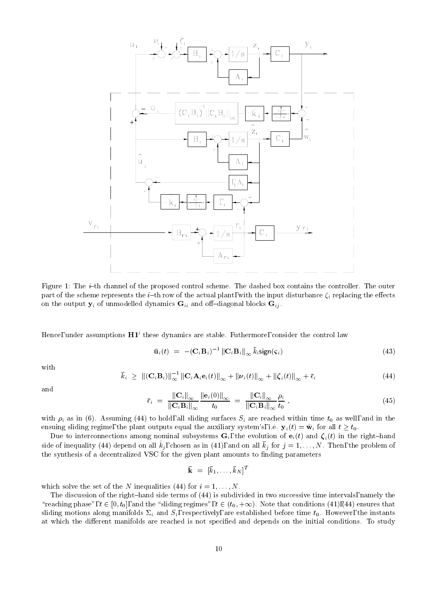

Figure 1: The  $i$ -th channel of the proposed control scheme. The dashed box contains the controller. The outer part of the scheme represents the *i*-th row of the actual plant, with the input disturbance  $\zeta_i$  replacing the effects on the output  $y_i$  of unmodelled dynamics  $G_{ii}$  and off-diagonal blocks  $G_{ij}$ .

Hence, under assumptions  $H1'$  these dynamics are stable. Futhermore, consider the control law

$$
\bar{\mathbf{u}}_i(t) = -(\mathbf{C}_i \mathbf{B}_i)^{-1} \left\| \mathbf{C}_i \mathbf{B}_i \right\|_{\infty} \bar{k}_i \text{sign}(\varsigma_i)
$$
\n(43)

with

$$
\bar{k}_i \geq \|(\mathbf{C}_i \mathbf{B}_i)\|_{\infty}^{-1} \|\mathbf{C}_i \mathbf{A}_i \mathbf{e}_i(t)\|_{\infty} + \|\boldsymbol{\nu}_i(t)\|_{\infty} + \|\boldsymbol{\zeta}_i(t)\|_{\infty} + \bar{\epsilon}_i
$$
\n(44)

and

$$
\bar{\epsilon}_{i} = \frac{\|\mathbf{C}_{i}\|_{\infty}}{\|\mathbf{C}_{i}\mathbf{B}_{i}\|_{\infty}} \frac{\|\mathbf{e}_{i}(0)\|_{\infty}}{t_{0}} = \frac{\|\mathbf{C}_{i}\|_{\infty}}{\|\mathbf{C}_{i}\mathbf{B}_{i}\|_{\infty}} \frac{\rho_{i}}{t_{0}}, \qquad (45)
$$

with  $\rho_i$  as in (6). Assuming (44) to hold, all sliding surfaces  $S_i$  are reached within time  $t_0$  as well, and in the ensuing sliding regime, the plant outputs equal the auxiliary system's, i.e.  $\mathbf{y}_i(t) = \hat{\mathbf{w}}_i$  for all  $t \geq t_0$ .

Due to interconnections among nominal subsystems  $\mathbf{G}_i$ , the evolution of  $\mathbf{e}_i(t)$  and  $\boldsymbol{\zeta}_i(t)$  in the right-hand side of inequality (44) depend on all  $\hat{k}_j$ , chosen as in (41), and on all  $\bar{k}_j$  for  $j = 1, \ldots, N$ . Then, the problem of the synthesis of a decentralized VSC for the given plant amounts to finding parameters

$$
\bar{\mathbf{k}}~=~[\bar{k}_1,\ldots,\bar{k}_N]^T
$$

which solve the set of the N inequalities (44) for  $i = 1, \ldots, N$ .

The discussion of the right-hand side terms of (44) is subdivided in two successive time intervals, namely the "reaching phase",  $t \in [0, t_0]$ , and the "sliding regimes",  $t \in (t_0, +\infty)$ . Note that conditions (41),(44) ensures that sliding motions along manifolds  $\Sigma_i$  and  $S_i$ , respectively, are established before time  $t_0$ . However, the instants at which the different manifolds are reached is not specified and depends on the initial conditions. To study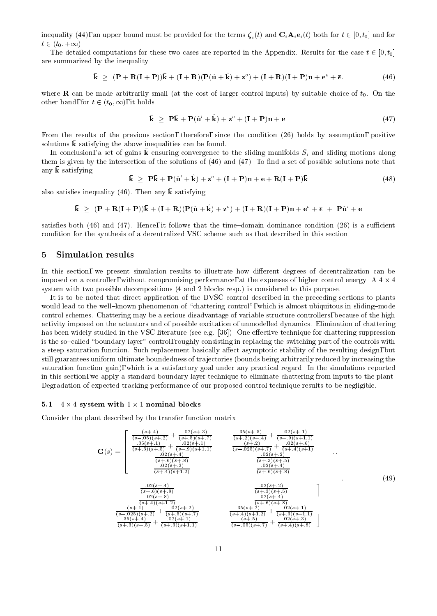inequality (44), an upper bound must be provided for the terms  $\zeta_i(t)$  and  $\mathbf{C}_i \mathbf{A}_i \mathbf{e}_i(t)$  both for  $t \in [0, t_0]$  and for  $t \in (t_0, +\infty).$ 

The detailed computations for these two cases are reported in the Appendix. Results for the case  $t \in [0, t_0]$ are summarized by the inequality

$$
\bar{\mathbf{k}} \geq (\mathbf{P} + \mathbf{R}(\mathbf{I} + \mathbf{P}))\bar{\mathbf{k}} + (\mathbf{I} + \mathbf{R})(\mathbf{P}(\hat{\mathbf{u}} + \hat{\mathbf{k}}) + \mathbf{z}^{\circ}) + (\mathbf{I} + \mathbf{R})(\mathbf{I} + \mathbf{P})\mathbf{n} + \mathbf{e}^{\circ} + \bar{\epsilon}.
$$
 (46)

where **R** can be made arbitrarily small (at the cost of larger control inputs) by suitable choice of  $t_0$ . On the other hand, for  $t \in (t_0, \infty)$ , it holds

$$
\bar{\mathbf{k}} \ge \mathbf{P}\bar{\mathbf{k}} + \mathbf{P}(\hat{\mathbf{u}}' + \hat{\mathbf{k}}) + \mathbf{z}^{\circ} + (\mathbf{I} + \mathbf{P})\mathbf{n} + \mathbf{e}.\tag{47}
$$

From the results of the previous section, therefore, since the condition (26) holds by assumption, positive solutions k satisfying the above inequalities can be found.

In concrusion, a set or gains  $\bf{r}$  ensuring convergence to the shuing manifolds  $\sigma_i$  and shuing motions along them is given by the intersection of the solutions of  $(46)$  and  $(47)$ . To find a set of possible solutions note that any  $\bf{r}$  batisfying

$$
\overline{\mathbf{k}} \ge \mathbf{P}\overline{\mathbf{k}} + \mathbf{P}(\hat{\mathbf{u}}' + \hat{\mathbf{k}}) + \mathbf{z}^{\circ} + (\mathbf{I} + \mathbf{P})\mathbf{n} + \mathbf{e} + \mathbf{R}(\mathbf{I} + \mathbf{P})\overline{\mathbf{k}} \tag{48}
$$

also satisfies inequality (46). Then any  $\bar{\mathbf{k}}$  satisfying

$$
\bar{\bf k} ~\ge~ ({\bf P}+{\bf R}({\bf I}+{\bf P}))\bar{\bf k} + ({\bf I}+{\bf R})({\bf P}(\hat{\bf u}+\hat{\bf k}) + {\bf z}^{\scriptscriptstyle O}) + ({\bf I}+{\bf R})({\bf I}+{\bf P}){\bf n} + {\bf e}^{\scriptscriptstyle O} + \bar{\boldsymbol{\epsilon}} ~+~ {\bf P}\hat{\bf u}^{\prime} + {\bf e}
$$

satisfies both  $(46)$  and  $(47)$ . Hence, it follows that the time-domain dominance condition  $(26)$  is a sufficient condition for the synthesis of a decentralized VSC scheme such as that described in this section.

#### $\overline{5}$ 5 Simulation results

In this section, we present simulation results to illustrate how different degrees of decentralization can be imposed on a controller, without compromising performance, at the expenses of higher control energy. A  $4 \times 4$ system with two possible decompositions (4 and 2 blocks resp.) is considered to this purpose.

It is to be noted that direct application of the DVSC control described in the preceding sections to plants would lead to the well-known phenomenon of "chattering control", which is almost ubiquitous in sliding-mode control schemes. Chattering may be a serious disadvantage of variable structure controllers, because of the high activity imposed on the actuators and of possible excitation of unmodelled dynamics. Elimination of chattering has been widely studied in the VSC literature (see e.g. [36]). One effective technique for chattering suppression is the so-called "boundary layer" control, roughly consisting in replacing the switching part of the controls with a steep saturation function. Such replacement basically affect asymptotic stability of the resulting design, but still guarantees uniform ultimate boundedness of tra jectories (bounds being arbitrarily reduced by increasing the saturation function gain), which is a satisfactory goal under any practical regard. In the simulations reported in this section, we apply a standard boundary layer technique to eliminate chattering from inputs to the plant. Degradation of expected tracking performance of our proposed control technique results to be negligible.

#### 5.1 4 - 4 system with 1 - 1 nominal blocks

Consider the plant described by the transfer function matrix

$$
\mathbf{G}(s) = \begin{bmatrix} \frac{(s+4)}{(s-0.5)(s+1)} + \frac{.02(s+3)}{(s+0.5)(s+7)} & \frac{.35(s+5)}{(s+2)(s+4)} + \frac{.02(s+1)}{(s+0.9(s+1.1)}\\ \frac{.35(s+1)}{(s+0.5)(s+5)} + \frac{.02(s+1)}{(s+0.9(s+1.1)} & \frac{.02(s+2)}{(s-0.25)(s+7)} + \frac{.02(s+6)}{(s+0.1)(s+1)}\\ \frac{.02(s+3)}{(s+0.9(s+8)} & \frac{.02(s+2)}{(s+0.9(s+3))} & \frac{.02(s+2)}{(s+0.9(s+5))}\\ \frac{.02(s+4)}{(s+0.9(s+8)} & \frac{.02(s+4)}{(s+0.9(s+8))} & \frac{.02(s+2)}{(s+0.9(s+5))}\\ \frac{.02(s+4)}{(s+0.9(s+8)} & \frac{.02(s+2)}{(s+0.9(s+5))} & \frac{.02(s+2)}{(s+0.9(s+5))}\\ \frac{.02(s+3)}{(s+0.9(s+2))} + \frac{.02(s+2)}{(s+0.9(s+1))} & \frac{.02(s+2)}{(s+0.9(s+1))} & \frac{.02(s+1)}{(s+0.9(s+1))}\\ \frac{.35(s+4)}{(s-0.2(s+2))} + \frac{.02(s+2)}{(s+0.9(s+1))} & \frac{.35(s+2)}{(s+0.9(s+1))} + \frac{.02(s+1)}{(s+1.9(s+1))} \end{bmatrix}
$$
\n
$$
\frac{.35(s+4)}{(s+3)(s+5)} + \frac{.02(s+1)}{(s+3)(s+1)} \qquad \frac{.35(s+2)}{(s-0.5)(s+7)} + \frac{.02(s+1)}{(s+0.9(s+3))}
$$
\n
$$
\frac{.35(s+4)}{(s+0.9(s+3))} + \frac{.02(s+1)}{(s+0.9(s+1))} + \frac{.02(s+2)}{(s+0.9(s+1))} + \frac{.02(s+3)}{(s+0.9(s+1))} + \frac{.02(s+3)}
$$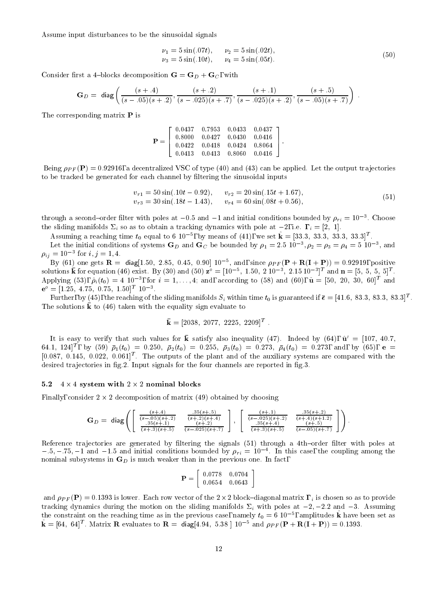Assume input disturbances to be the sinusoidal signals

$$
\begin{aligned}\n\nu_1 &= 5 \sin(.07t), & \nu_2 &= 5 \sin(.02t), \\
\nu_3 &= 5 \sin(.10t), & \nu_4 &= 5 \sin(.05t).\n\end{aligned} \tag{50}
$$

Consider first a 4-blocks decomposition  $\mathbf{G} = \mathbf{G}_D + \mathbf{G}_C$ , with

$$
\mathbf{G}_D = \text{ diag}\left(\frac{(s + .4)}{(s - .05)(s + .2)}, \frac{(s + .2)}{(s - .025)(s + .7)}, \frac{(s + .1)}{(s - .025)(s + .2)}, \frac{(s + .5)}{(s - .05)(s + .7)}\right).
$$

The corresponding matrix P is

$$
\mathbf{P} = \left[ \begin{array}{cccc} 0.0437 & 0.7953 & 0.0433 & 0.0437 \\ 0.8000 & 0.0427 & 0.0430 & 0.0416 \\ 0.0422 & 0.0418 & 0.0424 & 0.8064 \\ 0.0413 & 0.0413 & 0.8060 & 0.0416 \end{array} \right].
$$

Being  $\rho_{PF}(\mathbf{P})=0.92916$ , a decentralized VSC of type (40) and (43) can be applied. Let the output trajectories to be tracked be generated for each channel by filtering the sinusoidal inputs

$$
v_{r1} = 50 \sin(.10t - 0.92), \qquad v_{r2} = 20 \sin(.15t + 1.67),
$$
  
\n
$$
v_{r3} = 30 \sin(.18t - 1.43), \qquad v_{r4} = 60 \sin(.08t + 0.56),
$$
\n(51)

through a second—order niter with poles at  $-0.5$  and  $-1$  and initial conditions bounded by  $\rho_{ri} =$  10  $^{-}$  . Unoose the sliding manifolds  $\Sigma_i$  so as to obtain a tracking dynamics with pole at  $-2$ , i.e.  $\Gamma_i = [2, 1]$ .

Assuming a reaching time  $t_0$  equal to 6 TO F, by means of (41), we set  $\kappa =$  [33:3; 33:3; 33:3; 33:3]T.

Let the initial conditions of systems  $G_D$  and  $G_C$  be bounded by  $\rho_1 = 2.5$  for  $\gamma$ ,  $\rho_2 = \rho_3 = \rho_4 = 5$  for  $\gamma$ , and  $\rho_{ij} = 10$  for  $i, j = 1, 4$ .

By (61) one gets  $\mathbf{R} = \text{diag}[1.50, 2.85, 0.45, 0.90]$  10  $\rightarrow$  and, since  $pp_F(\mathbf{F} + \mathbf{R}(\mathbf{I} + \mathbf{F})) = 0.92919$ , positive SOLUTIONS K LOT EQUATION (40) EXIST. BY (50) and (50)  $\mathbf{z} = [10, 1.50, 2.10, 5, 1.510, 10]$  and  $\mathbf{n} = [3, 5, 5, 5]$ . Applying (53),  $\rho_i(t_0) = 4$  10 °, for  $i = 1, \ldots, 4$ ; and, according to (58) and (60),  ${\bf u} = [30, 20, 30, 60]^\top$  and  $e^z = [1.25, 4.75, 0.75, 1.50]$  103

Further, by (45), the reaching of the shqing manifolds  $S_i$  within time  $t_0$  is guaranteed if  $\epsilon =$  [41.6; 83.3; 83.3; 83.3]  $^\circ$  . The solutions k to (46) taken with the equality sign evaluate to

$$
\bar{\mathbf{k}} = [2038, 2077, 2225, 2209]^T
$$

It is easy to verify that such values for **k** satisfy also inequality (47). Indeed by (64),  $\mathbf{u}^+ = (107,~40.7;~$ 04.1, 124| , by (59)  $\rho_1(t_0) = 0.250, \ \rho_2(t_0) = 0.255, \ \rho_3(t_0) = 0.275, \ \rho_4(t_0) = 0.275, \ \text{and, by (05)}, \ e =$  $[0.087, \; 0.145, \; 0.022, \; 0.001]^\circ$  . The outputs of the plant and of the auxiliary systems are compared with the desired trajectories in fig. 2. Input signals for the four channels are reported in fig.  $3$ .

#### 5.2 4 - 4 system with 2 - 2 nominal blocks

 $\mathcal{L}$  -  $\mathcal{L}$  . The constant of matrix (49) obtained by choosing by choosing  $\mathcal{L}$ 

$$
\mathbf{G}_D = \text{ diag} \left( \left[ \begin{array}{cc} \frac{(s + .4)}{(s - .05)(s + .2)} & \frac{.35(s + .5)}{(s + .2)(s + .4)} \\ \frac{.35(s + .1)}{(s + .3)(s + .5)} & \frac{(s + .2)}{(s - .025)(s + .7)} \end{array} \right],\ \left[ \begin{array}{cc} \frac{(s + .1)}{(s - .025)(s + .2)} & \frac{.35(s + .2)}{(s + .4)(s + 1.2)} \\ \frac{.35(s + .4)}{(s + .3)(s + .5)} & \frac{.35(s + .2)}{(s - .05)(s + .7)} \end{array} \right] \right).
$$

Reference trajectories are generated by filtering the signals (51) through a 4th–order filter with poles at  $-5, -75, -1$  and  $-1.5$  and initial conditions bounded by  $\rho_{ri} = 10$   $\ldots$  in this case, the coupling among the nominal subsystems in  $G_D$  is much weaker than in the previous one. In fact,

$$
\mathbf{P} = \left[ \begin{array}{cc} 0.0778 & 0.0704 \\ 0.0654 & 0.0643 \end{array} \right]
$$

and  $P$  f  $F$  (p)  $\rightarrow$  0:1393 is to provide a chosen so as to provide all matrix in  $\delta$  as to provide a provide a provided by tracking dynamics during the motion on the sliding manifolds  $\Sigma_i$  with poles at  $-2, -2.2$  and  $-3$ . Assuming the constraint on the reaching time as in the previous case, namely  $\iota_0 =$  0 TO  $^-$  , amplitudes **k** have been set as  $\bf{k}$  = [04; 64] T Matrix R evaluates to  $\bf{R}$  = diag[4.94; 5:38 ] 105 and  $\rho_{PF}$ (P +  $\bf{R}$ (I + P)) = 0.1393.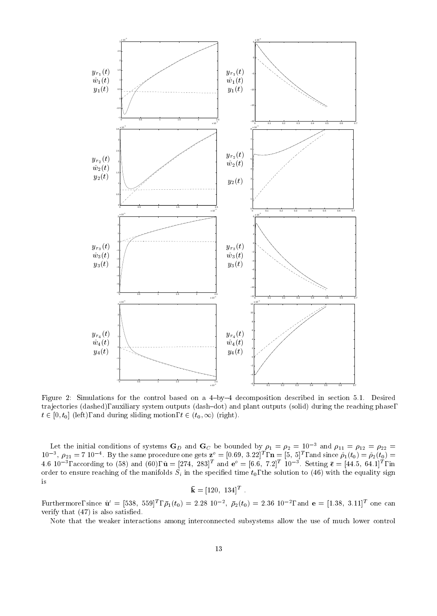

Figure 2: Simulations for the control based on a  $4$ -by-4 decomposition described in section 5.1. Desired trajectories (dashed), auxiliary system outputs (dash-dot) and plant outputs (solid) during the reaching phase,  $t \in [0, t_0]$  (left), and during sliding motion,  $t \in (t_0, \infty)$  (right).

Let the initial conditions of systems  $G_D$  and  $G_C$  be bounded by  $p_1 = p_2 = 10$  and  $p_{11} = p_{12} = p_{22} =$  $10\rightarrow p_{21} = 7.10\rightarrow \text{D}y$  the same procedure one gets  $\mathbf{z} = [0.69, 0.22]$ ,  $\mathbf{n} = [3, 5]$ , and since  $p_1(t_0) = p_2(t_0) = 0$ 4.0 IO , according to (58) and (60),  $\mathbf{u} = [274, 285]$  and  $\mathbf{e} = [0.0, 7.2]$  TO . Setting  $\mathbf{\epsilon} = [44.5, 04.1]$ , in order to ensure reaching of the manifolds  $S_i$  in the specified time  $t_0$ , the solution to (46) with the equality sign is

$$
\bar{\mathbf{k}} = [120, 134]^T
$$
.

rurthermore, since  $u^* = [338; 539]^\circ$ ,  $p_1(t_0) = 2.28$  10  $^{-1}$ ,  $p_2(t_0) = 2.36$  10  $^{-1}$ , and  $e = [1.38; 5.11]^\circ$  one can verify that  $(47)$  is also satisfied.

Note that the weaker interactions among interconnected subsystems allow the use of much lower control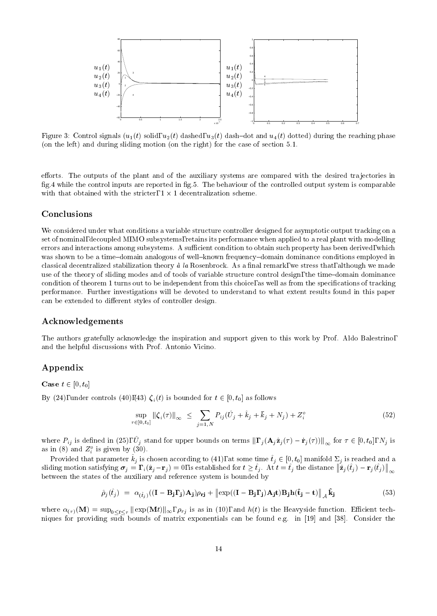

Figure 3: Control signals  $(u_1(t)$  solid,  $u_2(t)$  dashed,  $u_3(t)$  dash-dot and  $u_4(t)$  dotted) during the reaching phase (on the left) and during sliding motion (on the right) for the case of section 5.1.

efforts. The outputs of the plant and of the auxiliary systems are compared with the desired trajectories in fig. 4 while the control inputs are reported in fig. 5. The behaviour of the controlled output system is comparable with that obtained with the stricter with the stricter scheme. It is a stricted with the stricter of  $\mathcal{L}_\mathbf{X}$ 

### Conclusions

We considered under what conditions a variable structure controller designed for asymptotic output tracking on a set of nominal, decoupled MIMO subsystems, retains its performance when applied to a real plant with modelling errors and interactions among subsystems. A sufficient condition to obtain such property has been derived, which was shown to be a time-domain analogous of well-known frequency-domain dominance conditions employed in classical decentralized stabilization theory  $\dot{a}$  la Rosenbrock. As a final remark, we stress that, although we made use of the theory of sliding modes and of tools of variable structure control design, the time-domain dominance condition of theorem 1 turns out to be independent from this choice, as well as from the specifications of tracking performance. Further investigations will be devoted to understand to what extent results found in this paper can be extended to different styles of controller design.

#### Acknowledgements

The authors gratefully acknowledge the inspiration and support given to this work by Prof. Aldo Balestrino, and the helpful discussions with Prof. Antonio Vicino.

### Appendix

Case  $t \in [0, t_0]$ 

By (24), under controls (40), (43)  $\zeta_i(t)$  is bounded for  $t \in [0, t_0]$  as follows

$$
\sup_{\tau \in [0, t_0]} \|\zeta_i(\tau)\|_{\infty} \leq \sum_{j=1,N} P_{ij} (\hat{U}_j + \hat{k}_j + \bar{k}_j + N_j) + Z_i^o \tag{52}
$$

where  $P_{ij}$  is defined in (20),  $U_j$  stand for upper bounds on terms  $||P_j(A_j Z_j(t) - I_j(t))||_{\infty}$  for  $t \in [0, t_0]$ ,  $Ny_j$  is as in (8) and  $Z_i$  is given by (50).

I rovided that parameter  $\kappa_j$  is chosen according to (41), at some time  $\iota_j \in [0, \iota_0]$  manifold  $\omega_j$  is reached and a sliding motion satisfying  $\bm{\sigma}_j = \bm{\Gamma}_i(\hat{\mathbf{z}}_j - \mathbf{r}_j) = 0,$  is established for  $t \geq \hat{t}_j$ . At  $t = \hat{t}_j$  the distance  $\left\| \hat{\mathbf{z}}_j(\hat{t}_j) - \mathbf{r}_j(\hat{t}_j) \right\|_\infty$ between the states of the auxiliary and reference system is bounded by

$$
\hat{\rho}_j(\hat{t}_j) = \alpha_{(\hat{t}_j)}((\mathbf{I} - \mathbf{B}_j \mathbf{\Gamma}_j) \mathbf{A}_j) \rho_{\mathbf{r}j} + \left\| \exp((\mathbf{I} - \mathbf{B}_j \mathbf{\Gamma}_j) \mathbf{A}_j \mathbf{t}) \mathbf{B}_j \mathbf{h}(\hat{t}_j - \mathbf{t}) \right\|_{\mathcal{A}} \hat{\mathbf{k}}_j
$$
(53)

where  $\alpha_{(\tau)}(\mathbf{M}) = \sup_{0 \leq t \leq \tau} ||\exp(\mathbf{M}t)||_{\infty}$ ,  $\rho_{rj}$  is as in (10), and  $h(t)$  is the Heavyside function. Efficient techniques for providing such bounds of matrix exponentials can be found e.g. in [19] and [38]. Consider the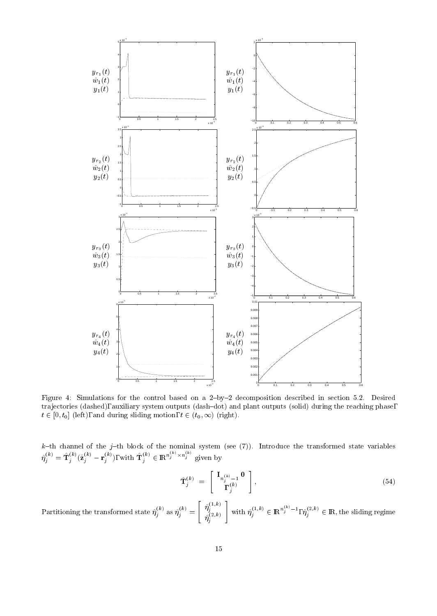

Figure 4: Simulations for the control based on a  $2$ -by-2 decomposition described in section 5.2. Desired trajectories (dashed), auxiliary system outputs (dash-dot) and plant outputs (solid) during the reaching phase,  $t \in [0, t_0]$  (left), and during sliding motion,  $t \in (t_0, \infty)$  (right).

 $\mathbf{r}_t$  channel of the jath block of the nominal system (see (1)). Introduce the transformed state variables  $\hat{\eta}^{(k)}_i = \hat{\mathbf{T}}_i^{(k)} (\hat{\mathbf{z}}_i^{(k)} - \mathbf{r}_i^{(k)})$ , with  $\hat{\mathbf{T}}_i^{(k)} \in \mathbb{R}^{n_i \times n_i \times n_j}$  given by

$$
\hat{\mathbf{T}}_{j}^{(k)} = \begin{bmatrix} \mathbf{I}_{n_j^{(k)} - 1} \mathbf{0} \\ \mathbf{\hat{T}}_{j}^{(k)} \end{bmatrix},
$$
\n(54)

Partitioning the transformed state  $\eta^{\vee}_i$  as  $\eta^{\vee}_i = \lceil \frac{\eta^{\vee}_i}{\sqrt{2k}} \rceil$  w "  $\eta_j^{\ldots,\ldots}$   $\mid \ldots$  $\hat{\eta}^{(1,k)}_{j \qquad \ \ \, \hat{\eta}^{(2,k)}_{j}} \,\,\,\left[\,\,\text{with}\,\,\hat{\eta}^{(1,k)}_{j} \in {\rm I\!R}^{n_j^{(1)}}\right]$  $(\hat{i}_{i}^{(1,k)} \in \mathbb{R}^{n_{i}^{(2)}-1}, \hat{\eta}_{i}^{(2,k)} \in \mathbb{R},$  the sliding regime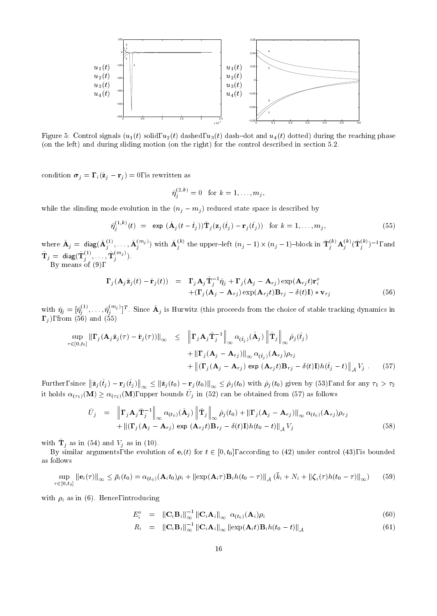

Figure 5: Control signals  $(u_1(t)$  solid,  $u_2(t)$  dashed,  $u_3(t)$  dash-dot and  $u_4(t)$  dotted) during the reaching phase (on the left) and during sliding motion (on the right) for the control described in section 5.2.

condition  $\sigma_j = \Gamma_i(\hat{\mathbf{z}}_j - \mathbf{r}_j) = 0$ , is rewritten as

$$
\hat{\eta}_i^{(2,k)} = 0 \text{ for } k = 1, \dots, m_j,
$$

while the slinding mode evolution in the  $(n_j - m_j)$  reduced state space is described by

$$
\hat{\eta}_j^{(1,k)}(t) = \exp\left(\hat{\mathbf{A}}_j(t-\hat{t}_j)\right)\hat{\mathbf{T}}_j(\mathbf{z}_j(\hat{t}_j) - \mathbf{r}_j(\hat{t}_j)) \quad \text{for } k = 1,\dots, m_j,\tag{55}
$$

where  $A_j = \text{diag}(A_j^{(1)}, \ldots, A_j^{(m_j)})$  with  $A_j^{(n)}$  the upper-left  $(n_j - 1) \times (n_j - 1)$ -block in  $T_j^{(n)} A_j^{(n)} (T_j^{(n)})^{-1}$ , and  $\mathbf{T}_j = \text{ diag}(\mathbf{T}^{\scriptscriptstyle (\mathrm{T}^{\scriptscriptstyle \mathrm{T}})}_j, \ldots, \mathbf{T}^{\scriptscriptstyle (\mathrm{T}^{\scriptscriptstyle \mathrm{T}})}_j).$ 

 $\mathbf{B}$  means of (9), and (9), and (9), and (9), and (9), and (9), and (9), and (9), and (9), and (9), and (9), and (9), and (9), and (9), and (9), and (9), and (9), and (9), and (9), and (9), and (9), and (9), and (9),

$$
\Gamma_j(\mathbf{A}_j \hat{\mathbf{z}}_j(t) - \dot{\mathbf{r}}_j(t)) = \Gamma_j \mathbf{A}_j \hat{\mathbf{T}}_j^{-1} \hat{\eta}_j + \Gamma_j(\mathbf{A}_j - \mathbf{A}_{rj}) \exp(\mathbf{A}_{rj} t) \mathbf{r}_i^o \n+ (\Gamma_j(\mathbf{A}_j - \mathbf{A}_{rj}) \exp(\mathbf{A}_{rj} t) \mathbf{B}_{rj} - \delta(t) \mathbf{I}) * \mathbf{v}_{rj}
$$
\n(56)

with  $\eta_j = [\eta_j^{\dots}, \dots, \eta_j^{\dots}]^T$ . S  $j$   $\Box$  is Hurwitz (this proceeds from the choice of stable tracking dynamics in j ), from (56) and (55)

$$
\sup_{\tau \in [0, t_0]} \|\mathbf{\Gamma}_j (\mathbf{A}_j \hat{\mathbf{z}}_j(\tau) - \dot{\mathbf{r}}_j(\tau))\|_{\infty} \leq \|\mathbf{\Gamma}_j \mathbf{A}_j \hat{\mathbf{T}}_j^{-1}\|_{\infty} \alpha_{(\hat{t}_j)}(\hat{\mathbf{A}}_j) \|\hat{\mathbf{T}}_j\|_{\infty} \hat{\rho}_j(\hat{t}_j) \n+ \|\mathbf{\Gamma}_j (\mathbf{A}_j - \mathbf{A}_{rj})\|_{\infty} \alpha_{(\hat{t}_j)}(\mathbf{A}_{rj}) \rho_{rj} \n+ \|\mathbf{\Gamma}_j (\mathbf{A}_j - \mathbf{A}_{rj}) \exp (\mathbf{A}_{rj} t) \mathbf{B}_{rj} - \delta(t) \mathbf{I} )h(\hat{t}_j - t) \|_{\mathcal{A}} V_j .
$$
\n(57)

Further, since  $\left\|\hat{\mathbf{z}}_j(\hat{t}_j) - \mathbf{r}_j(\hat{t}_j)\right\|_{\infty} \leq \left\|\hat{\mathbf{z}}_j(t_0) - \mathbf{r}_j(t_0)\right\|_{\infty} \leq \hat{\rho}_j(t_0)$  with  $\hat{\rho}_j(t_0)$  given by (53), and for any  $\tau_1 > \tau_2$ it holds  $\alpha_{(\tau_1)}(\mathbf{M}) \geq \alpha_{(\tau_2)}(\mathbf{M})$ , upper bounds  $\sigma_j$  in (52) can be obtained from (57) as follows

$$
\hat{U}_j = \left\| \mathbf{\Gamma}_j \mathbf{A}_j \hat{\mathbf{T}}_j^{-1} \right\|_{\infty} \alpha_{(t_0)}(\hat{\mathbf{A}}_j) \left\| \hat{\mathbf{T}}_j \right\|_{\infty} \hat{\rho}_j(t_0) + \left\| \mathbf{\Gamma}_j (\mathbf{A}_j - \mathbf{A}_{rj}) \right\|_{\infty} \alpha_{(t_0)}(\mathbf{A}_{rj}) \rho_{rj} \n+ \left\| (\mathbf{\Gamma}_j (\mathbf{A}_j - \mathbf{A}_{rj}) \exp (\mathbf{A}_{rj} t) \mathbf{B}_{rj} - \delta(t) \mathbf{I}) h(t_0 - t) \right\|_{\mathcal{A}} V_j
$$
\n(58)

with  $\mathbf{I}_j$  as in (54) and  $V_j$  as in (10).

By similar arguments, the evolution of  $e_i(t)$  for  $t \in [0, t_0]$ , according to (42) under control (43), is bounded as follows

$$
\sup_{\tau \in [0,t_0]} ||\mathbf{e}_i(\tau)||_{\infty} \leq \bar{\rho}_i(t_0) = \alpha_{(t_0)}(\mathbf{A}_i t_0) \rho_i + ||\exp(\mathbf{A}_i \tau) \mathbf{B}_i h(t_0 - \tau)||_{\mathcal{A}} (\bar{k}_i + N_i + ||\zeta_i(\tau)h(t_0 - \tau)||_{\infty}) \tag{59}
$$

with  $\rho_i$  as in (6). Hence, introducing

$$
E_i^o = \|\mathbf{C}_i \mathbf{B}_i\|_{\infty}^{-1} \|\mathbf{C}_i \mathbf{A}_i\|_{\infty} \alpha_{(t_0)}(\mathbf{A}_i) \rho_i \tag{60}
$$

$$
R_i = \|\mathbf{C}_i \mathbf{B}_i\|_{\infty}^{-1} \|\mathbf{C}_i \mathbf{A}_i\|_{\infty} \|\exp(\mathbf{A}_i t) \mathbf{B}_i h(t_0 - t)\|_{\mathcal{A}}
$$
(61)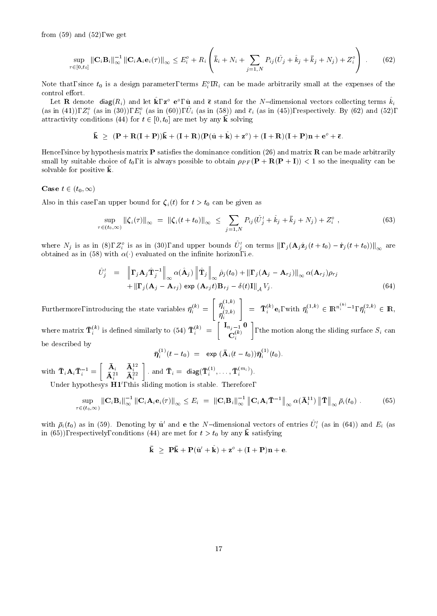from  $(59)$  and  $(52)$ , we get

$$
\sup_{\tau \in [0, t_0]} \|\mathbf{C}_i \mathbf{B}_i\|_{\infty}^{-1} \|\mathbf{C}_i \mathbf{A}_i \mathbf{e}_i(\tau)\|_{\infty} \le E_i^o + R_i \left(\bar{k}_i + N_i + \sum_{j=1, N} P_{ij} (\hat{U}_j + \hat{k}_j + \bar{k}_j + N_j) + Z_i^o\right) \tag{62}
$$

 $\mathbf{1}$ 

Note that, since  $\iota_0$  is a design parameter, terms  $E_i, K_i$  can be made arbitrarily small at the expenses of the control effort.

Let  $\bf n$  denote diag( $n_i$ ) and let  $\bf k, z^*$  erg  $\bf u$  and  $\bf \epsilon$  stand for the N-dimensional vectors collecting terms  $\kappa_i$ (as in (41)),  $Z_i$  (as in (50)),  $E_i$  (as in (60)),  $U_i$  (as in (58)) and  $\epsilon_i$  (as in (45)), respectively. By (62) and (52), attractivity conditions (44) for  $t \in [0, t_0]$  are met by any **K** solving

$$
\bar k ~\ge~ (P+R(I+P))\bar k + (I+R)(P(\hat u+\hat k) + z^{\scriptscriptstyle\circ}) + (I+R)(I+P)n + e^{\scriptscriptstyle\circ} + \bar \epsilon.
$$

Hence, since by hypothesis matrix  $P$  satisfies the dominance condition (26) and matrix  $R$  can be made arbitrarily small by suitable choice of  $t_0$ , it is always possible to obtain  $\rho_{PF}(\mathbf{P} + \mathbf{R}(\mathbf{P} + \mathbf{I})) < 1$  so the inequality can be solvable for positive k

#### Case  $t \in (t_0, \infty)$

Also in this case, an upper bound for  $\zeta_i(t)$  for  $t>t_0$  can be given as

$$
\sup_{\tau \in (t_0,\infty)} ||\zeta_i(\tau)||_{\infty} = ||\zeta_i(t+t_0)||_{\infty} \leq \sum_{j=1,N} P_{ij}(\hat{U}'_j + \hat{k}_j + \bar{k}_j + N_j) + Z_i^o , \qquad (63)
$$

where  $N_j$  is as in (8),  $Z_i$  is as in (50), and upper bounds  $U_j$  on terms  $\| \mathbf{I}_j (A_j \mathbf{z}_j (t + t_0) - \mathbf{r}_j (t + t_0)) \|_\infty$  are obtained as in (58) with  $\alpha$ () evaluated on the infinite horizon, i.e.

$$
\hat{U}'_j = \left\| \mathbf{\Gamma}_j \mathbf{A}_j \hat{\mathbf{T}}_j^{-1} \right\|_{\infty} \alpha(\hat{\mathbf{A}}_j) \left\| \hat{\mathbf{T}}_j \right\|_{\infty} \hat{\rho}_j(t_0) + \left\| \mathbf{\Gamma}_j (\mathbf{A}_j - \mathbf{A}_{rj}) \right\|_{\infty} \alpha(\mathbf{A}_{rj}) \rho_{rj} \n+ \left\| \mathbf{\Gamma}_j (\mathbf{A}_j - \mathbf{A}_{rj}) \exp (\mathbf{A}_{rj} t) \mathbf{B}_{rj} - \delta(t) \mathbf{I} \right\|_{\mathcal{A}} V_j.
$$
\n(64)

Furthermore, introducing the state variables  $\eta_i^{\otimes i} = \lceil \frac{r_i}{r_i^i} \rceil$ "  $\eta_i^{x_1,\dots, x_n}$  $\left. \begin{array}{c} \bar{\eta}^{(1,k)}_i\\ \bar{\eta}^{(2,k)}_i \end{array} \right] \;\; = \;\; \bar{\mathbf{T}}_i^{(k)} \mathbf{e}_i, \; \text{with} \; \bar{\eta}^{(1,k)}_i \in \, \mathbb{R}^{n_i^{(k)}-1}, \; \bar{\eta}^{(2,k)}_i \, \in \, \mathbb{R},$ where matrix  $\mathbf{T}^{(n)}_i$  is defined similarly to (54)  $\mathbf{T}^{(n)}_i \equiv \begin{bmatrix} 1 & k \end{bmatrix}$  $\begin{bmatrix} \mathbf{I}_{n_i-1} & \mathbf{0} \end{bmatrix}$  $\mathbf{C}_i^{(k)}\left.\vphantom{\sum}\right],\text{the mot}$ , the motion along the motion along the sliding surface  $\Omega$  can be seen as  $\Omega$  can be seen as  $\Omega$ be described by

$$
\bar{\boldsymbol{\eta}}_i^{(1)}(t-t_0) = \exp(\bar{\mathbf{A}}_i(t-t_0))\bar{\boldsymbol{\eta}}_i^{(1)}(t_0).
$$

with  $\mathbf{I}_i \mathbf{A}_i \mathbf{I}_i = \begin{bmatrix} \overline{\mathbf{A}} & 21 & \overline{\mathbf{A}} & 22 \end{bmatrix}$  $\left[\begin{array}{cc} \mathbf{A}_i & \mathbf{A}_i^{12} \ \bar{\mathbf{A}}_i^{21} & \bar{\mathbf{A}}_i^{22} \end{array}\right]$  and  $\bar{\mathbf{T}}_i$ and  $\mathbf{T}_i = \text{diag}(\mathbf{T}_i^{(1)}, \ldots, \mathbf{T}_i^{(m_i)})$ . Under hypothesys  $H1'$ , this sliding motion is stable. Therefore,

$$
\sup_{\tau \in (t_0, \infty)} \|\mathbf{C}_i \mathbf{B}_i\|_{\infty}^{-1} \|\mathbf{C}_i \mathbf{A}_i \mathbf{e}_i(\tau)\|_{\infty} \leq E_i = \|\mathbf{C}_i \mathbf{B}_i\|_{\infty}^{-1} \left\| \mathbf{C}_i \mathbf{A}_i \bar{\mathbf{T}}^{-1} \right\|_{\infty} \alpha(\bar{\mathbf{A}}_i^{11}) \left\| \bar{\mathbf{T}} \right\|_{\infty} \bar{\rho}_i(t_0) .
$$
 (65)

with  $\bar{\rho}_i(t_0)$  as in (59). Denoting by  $\hat{\mathbf{u}}'$  and e the N-dimensional vectors of entries  $\hat{U}'_i$  (as in (64)) and  $E_i$  (as in (65)), respectively, conditions (44) are met for  $t > t_0$  by any **K** satisfying

$$
\mathbf{k} \ \geq \ \mathbf{P}\mathbf{k} + \mathbf{P}(\hat{\mathbf{u}}' + \mathbf{k}) + \mathbf{z}^o + (\mathbf{I} + \mathbf{P})\mathbf{n} + \mathbf{e}.
$$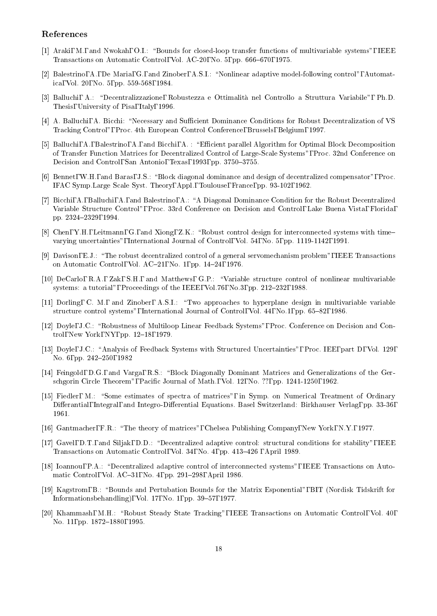# References

- [1] Araki, M., and Nwokah, O.I.: "Bounds for closed-loop transfer functions of multivariable systems", IEEE Transactions on Automatic Control, Vol. AC-20, No. 5, pp. 666-670, 1975.
- [2] Balestrino, A., De Maria, G., and Zinober, A.S.I.: "Nonlinear adaptive model-following control", Automatica, Vol. 20, No. 5, pp. 559-568, 1984.
- [3] Balluchi, A.: "Decentralizzazione, Robustezza e Ottimalità nel Controllo a Struttura Variabile", Ph.D. Thesis, University of Pisa, Italy, 1996.
- [4] A. Balluchi, A. Bicchi: "Necessary and Sufficient Dominance Conditions for Robust Decentralization of VS Tracking Control", Proc. 4th European Control Conference, Brussels, Belgium, 1997.
- [5] Balluchi, A., Balestrino, A., and Bicchi, A. : "Efficient parallel Algorithm for Optimal Block Decomposition of Transfer Function Matrices for Decentralized Control of Large-Scale Systems", Proc. 32nd Conference on Decision and Control, San Antonio, Texas, 1993, pp. 3750–3755.
- [6] Bennet, W.H., and Baras, J.S.: "Block diagonal dominance and design of decentralized compensator", Proc. IFAC Symp.Large Scale Syst. Theory, Appl., Toulouse, France, pp. 93-102, 1962.
- [7] Bicchi, A., Balluchi, A., and Balestrino, A.: \A Diagonal Dominance Condition for the Robust Decentralized Variable Structure Control", Proc. 33rd Conference on Decision and Control, Lake Buena Vista, Florida, pp. 2324-2329, 1994.
- [8] Chen, Y.H., Leitmann, G., and Xiong, Z.K.: "Robust control design for interconnected systems with time varying uncertainties", International Journal of Control, Vol. 54, No. 5, pp. 1119-1142, 1991.
- [9] Davison, E.J.: \The robust decentralized control of a general servomechanism problem", IEEE Transactions on Automatic Control, Vol. AC{21, No. 1, pp. 14{24, 1976.
- [10] DeCarlo, R.A., Zak, S.H., and Matthews, G.P.: \Variable structure control of nonlinear multivariable systems: a tutorial", Proceedings of the IEEE, Vol.76, No.3, pp.  $212{-}232$ , 1988.
- [11] Dorling, C. M., and Zinober, A.S.I.: "Two approaches to hyperplane design in multivariable variable structure control systems", International Journal of Control, Vol. 44, No.1, pp. 65-82, 1986.
- [12] Doyle, J.C.: "Robustness of Multiloop Linear Feedback Systems", Proc. Conference on Decision and Control, New York, NY, pp. 12-18, 1979.
- [13] Doyle, J.C.: \Analysis of Feedback Systems with Structured Uncertainties", Proc. IEE, part D, Vol. 129, No. 6, pp. 242-250, 1982
- [14] Feingold, D.G., and Varga, R.S.: "Block Diagonally Dominant Matrices and Generalizations of the Gerschgorin Circle Theorem", Pacific Journal of Math., Vol. 12, No. ??, pp. 1241-1250, 1962.
- [15] Fiedler, M.: "Some estimates of spectra of matrices", in Symp. on Numerical Treatment of Ordinary Differantial, Integral, and Integro-Differential Equations. Basel Switzerland: Birkhauser Verlag, pp. 33-36, 1961.
- [16] Gantmacher, F.R.: \The theory of matrices", Chelsea Publishing Company, New York, N.Y., 1977.
- [17] Gavel, D.T., and Siljak, D.D.: "Decentralized adaptive control: structural conditions for stability", IEEE Transactions on Automatic Control, Vol. 34, No. 4, pp. 413-426, April 1989.
- [18] Ioannou, P.A.: "Decentralized adaptive control of interconnected systems", IEEE Transactions on Automatic Control, Vol. AC-31, No. 4, pp. 291-298, April 1986.
- [19] Kagstrom, B.: "Bounds and Pertubation Bounds for the Matrix Esponential", BIT (Nordisk Tidskrift for Informationsbehandling), Vol. 17, No. 1, pp.  $39-57$ , 1977.
- [20] Khammash, M.H.: "Robust Steady State Tracking", IEEE Transactions on Automatic Control, Vol. 40, No. 11, pp. 1872-1880, 1995.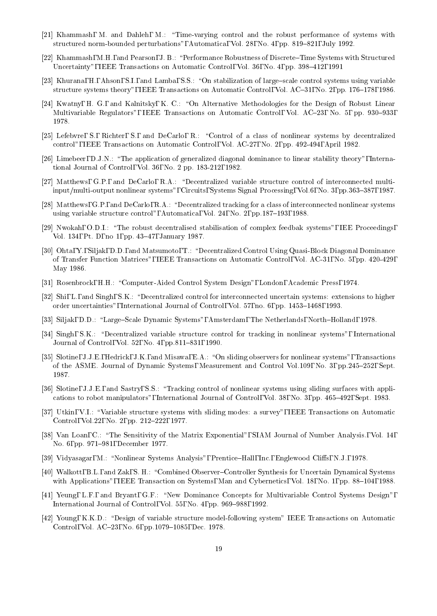- [21] Khammash, M. and Dahleh, M.: \Time-varying control and the robust performance of systems with structured norm-bounded perturbations", Automatica, Vol. 28, No. 4, pp. 819-821, July 1992.
- [22] Khammash, M.H., and Pearson, J. B.: "Performance Robustness of Discrete-Time Systems with Structured Uncertainty", IEEE Transactions on Automatic Control, Vol. 36, No. 4, pp. 398–412, 1991
- [23] Khurana, H., Ahson, S.I., and Lamba, S.S.: "On stabilization of large-scale control systems using variable structure systems theory", IEEE Transactions on Automatic Control, Vol. AC-31, No. 2, pp. 176-178, 1986.
- [24] Kwatny, H. G., and Kalnitsky, K. C.: "On Alternative Methodologies for the Design of Robust Linear Multivariable Regulators", IEEE Transactions on Automatic Control, Vol. AC-23, No. 5, pp. 930-933, 1978.
- [25] Lefebvre, S., Richter, S., and DeCarlo, R.: \Control of a class of nonlinear systems by decentralized control", IEEE Transactions on Automatic Control, Vol. AC-27, No. 2, pp. 492-494, April 1982.
- [26] Limebeer, D.J.N.: \The application of generalized diagonal dominance to linear stability theory", International Journal of Control, Vol. 36, No. 2 pp. 183-212, 1982.
- [27] Matthews, G.P., and DeCarlo, R.A.: "Decentralized variable structure control of interconnected multiinput/multi-output nonlinear systems", Circuits, Systems Signal Processing, Vol.6, No. 3, pp.363-387, 1987.
- [28] Matthews, G.P., and DeCarlo, R.A.: "Decentralized tracking for a class of interconnected nonlinear systems using variable structure control", Automatica, Vol. 24, No. 2, pp.187-193, 1988.
- [29] Nwokah, O.D.I.: \The robust decentralised stabilisation of complex feedbak systems", IEE Proceedings, Vol. 134, Pt. D, no 1, pp. 43-47, January 1987.
- [30] Ohta, Y., Siljak, D.D., and Matsumoto, T.: "Decentralized Control Using Quasi-Block Diagonal Dominance of Transfer Function Matrices", IEEE Transactions on Automatic Control, Vol. AC-31, No. 5, pp. 420-429, May 1986.
- [31] Rosenbrock, H.H.: \Computer-Aided Control System Design", London, Academic Press, 1974.
- [32] Shi, L., and Singh, S.K.: "Decentralized control for interconnected uncertain systems: extensions to higher order uncertainties", International Journal of Control, Vol. 57, no. 6, pp. 1453–1468, 1993.
- [33] Siljak, D.D.: "Large-Scale Dynamic Systems", Amsterdam, The Netherlands, North-Holland, 1978.
- [34] Singh, S.K.: "Decentralized variable structure control for tracking in nonlinear systems", International Journal of Control, Vol. 52, No. 4, pp.811-831, 1990.
- [35] Slotine, J.J.E., Hedrick, J.K., and Misawa, E.A.: "On sliding observers for nonlinear systems", Transactions of the ASME. Journal of Dynamic Systems, Measurement and Control Vol.109, No. 3, pp.245–252, Sept. 1987.
- [36] Slotine, J.J.E., and Sastry, S.S.: \Tracking control of nonlinear systems using sliding surfaces with applications to robot manipulators", International Journal of Control, Vol. 38, No. 3, pp. 465-492, Sept. 1983.
- [37] Utkin, V.I.: "Variable structure systems with sliding modes: a survey", IEEE Transactions on Automatic Control, Vol.22, No. 2, pp. 212-222, 1977.
- [38] Van Loan, C.: "The Sensitivity of the Matrix Exponential", SIAM Journal of Number Analysis., Vol. 14, No. 6, pp. 971-981, December 1977.
- [39] Vidyasagar, M.: "Nonlinear Systems Analysis", Prentice-Hall, Inc., Englewood Cliffs, N.J., 1978.
- [40] Walkott, B.L., and Zak, S. H.: \Combined Observer{Controller Synthesis for Uncertain Dynamical Systems with Applications", IEEE Transaction on Systems, Man and Cybernetics, Vol. 18, No. 1, pp. 88-104, 1988.
- [41] Yeung, L.F., and Bryant, G.F.: "New Dominance Concepts for Multivariable Control Systems Design", International Journal of Control, Vol. 55, No. 4, pp. 969–988, 1992.
- [42] Young, K.K.D.: "Design of variable structure model-following system" IEEE Transactions on Automatic Control, Vol. AC-23, No. 6, pp.1079-1085, Dec. 1978.